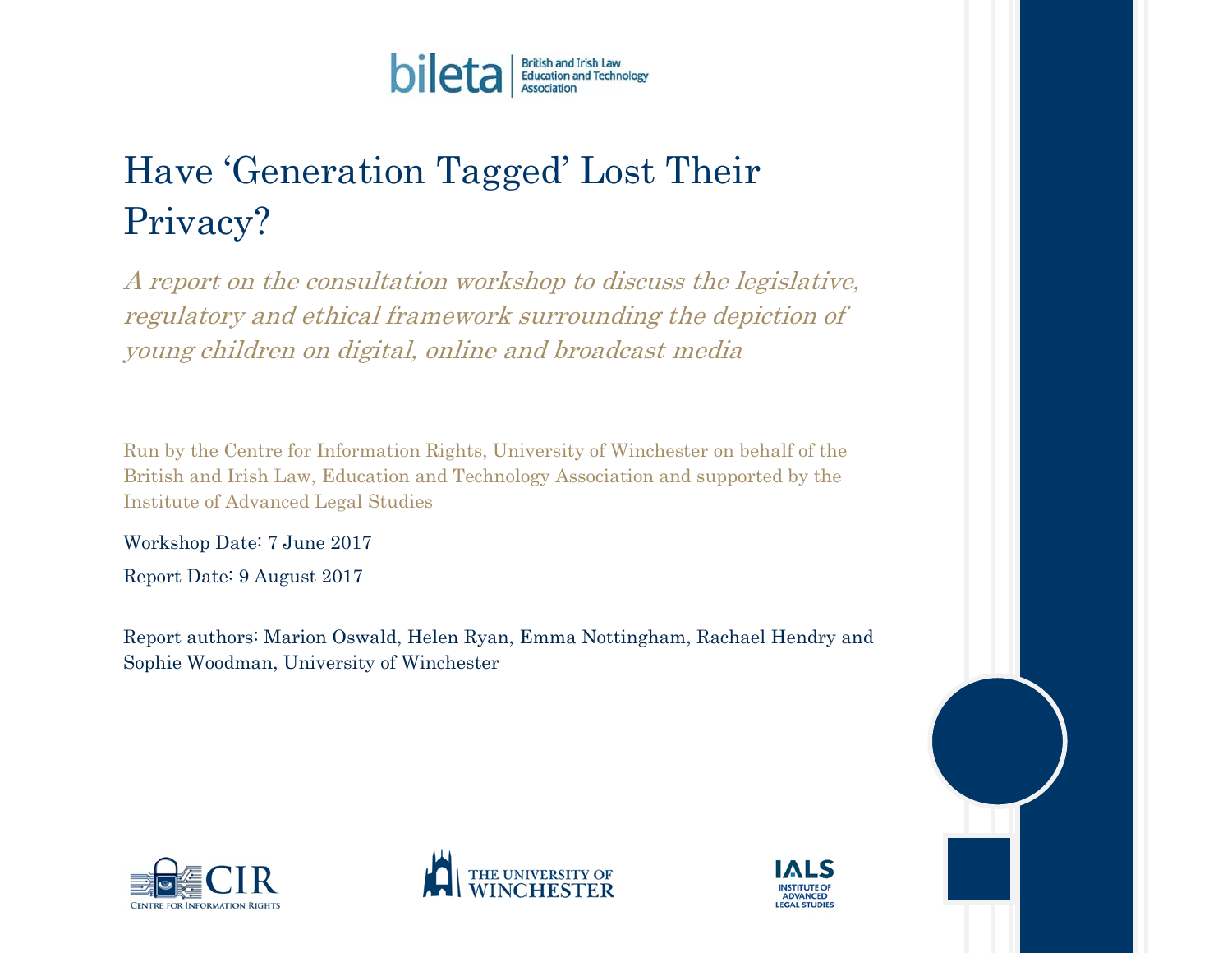

# Have 'Generation Tagged' Lost Their Privacy?

A report on the consultation workshop to discuss the legislative, regulatory and ethical framework surrounding the depiction of young children on digital, online and broadcast media

Run by the Centre for Information Rights, University of Winchester on behalf of the British and Irish Law, Education and Technology Association and supported by the Institute of Advanced Legal Studies

Workshop Date: 7 June 2017

Report Date: 9 August 2017

Report authors: Marion Oswald, Helen Ryan, Emma Nottingham, Rachael Hendry and Sophie Woodman, University of Winchester





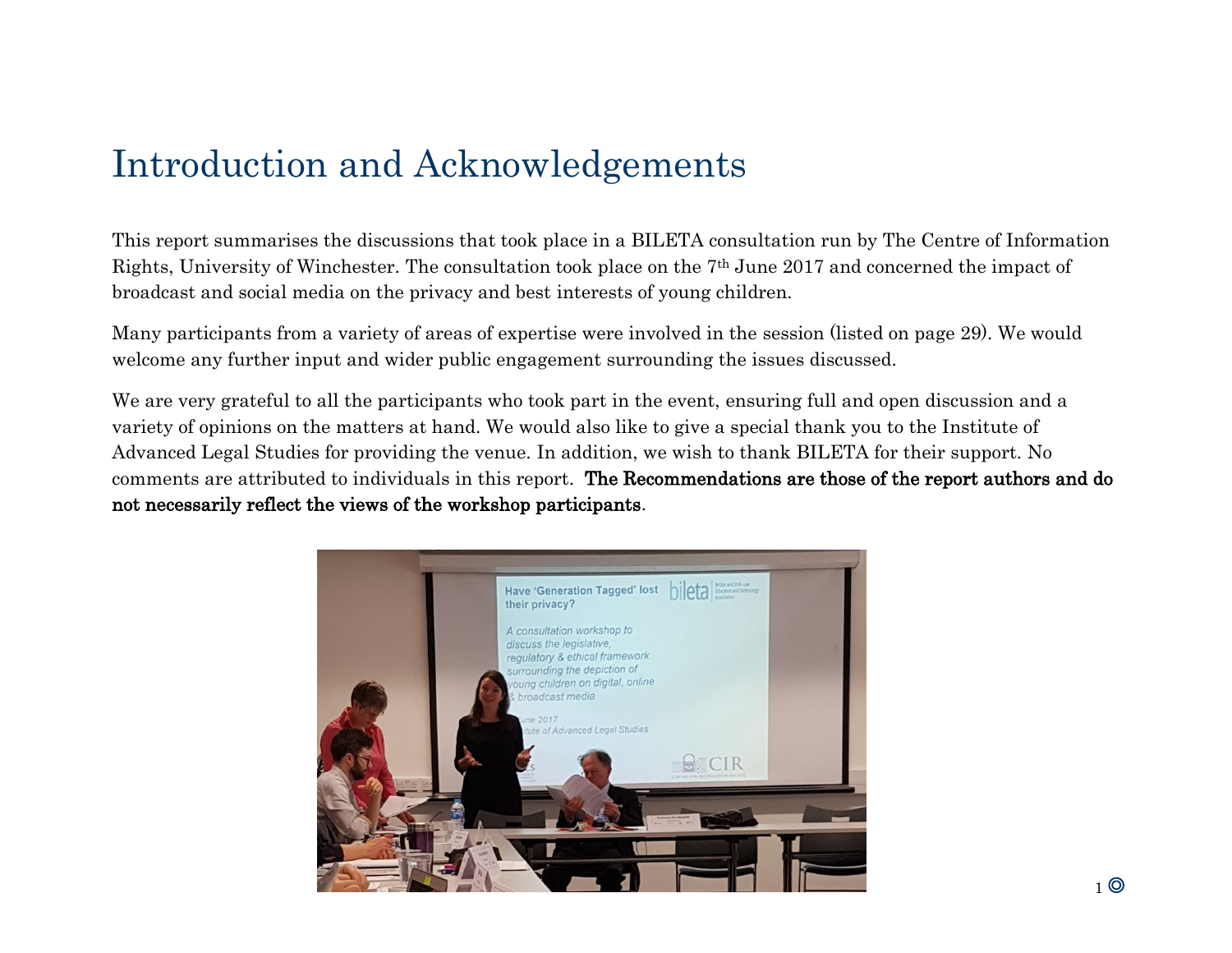# Introduction and Acknowledgements

This report summarises the discussions that took place in a BILETA consultation run by The Centre of Information Rights, University of Winchester. The consultation took place on the 7th June 2017 and concerned the impact of broadcast and social media on the privacy and best interests of young children.

Many participants from a variety of areas of expertise were involved in the session (listed on page 29). We would welcome any further input and wider public engagement surrounding the issues discussed.

We are very grateful to all the participants who took part in the event, ensuring full and open discussion and a variety of opinions on the matters at hand. We would also like to give a special thank you to the Institute of Advanced Legal Studies for providing the venue. In addition, we wish to thank BILETA for their support. No comments are attributed to individuals in this report. The Recommendations are those of the report authors and do not necessarily reflect the views of the workshop participants.

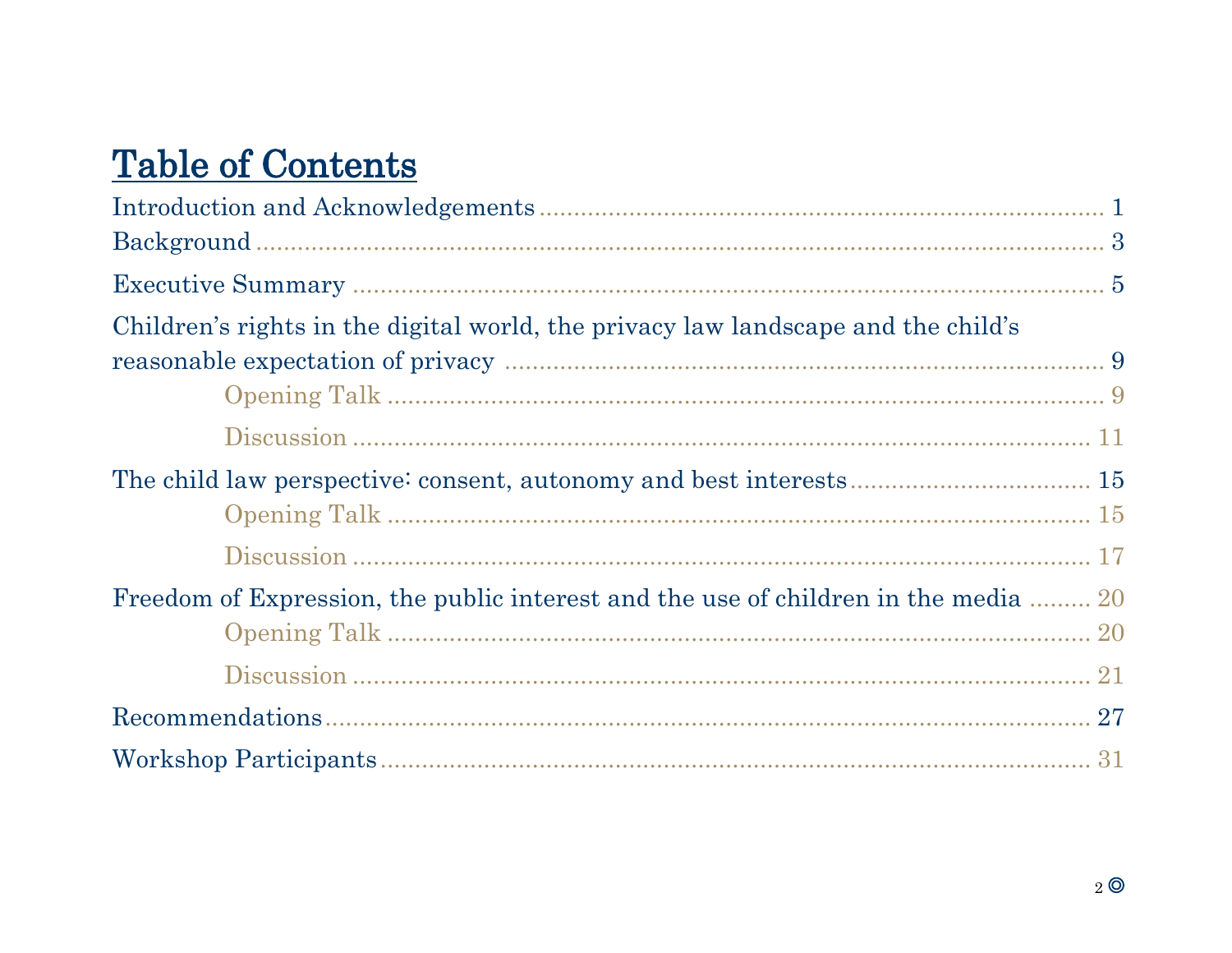# **Table of Contents**

| Children's rights in the digital world, the privacy law landscape and the child's   |  |
|-------------------------------------------------------------------------------------|--|
|                                                                                     |  |
|                                                                                     |  |
|                                                                                     |  |
|                                                                                     |  |
| Freedom of Expression, the public interest and the use of children in the media  20 |  |
|                                                                                     |  |
|                                                                                     |  |
|                                                                                     |  |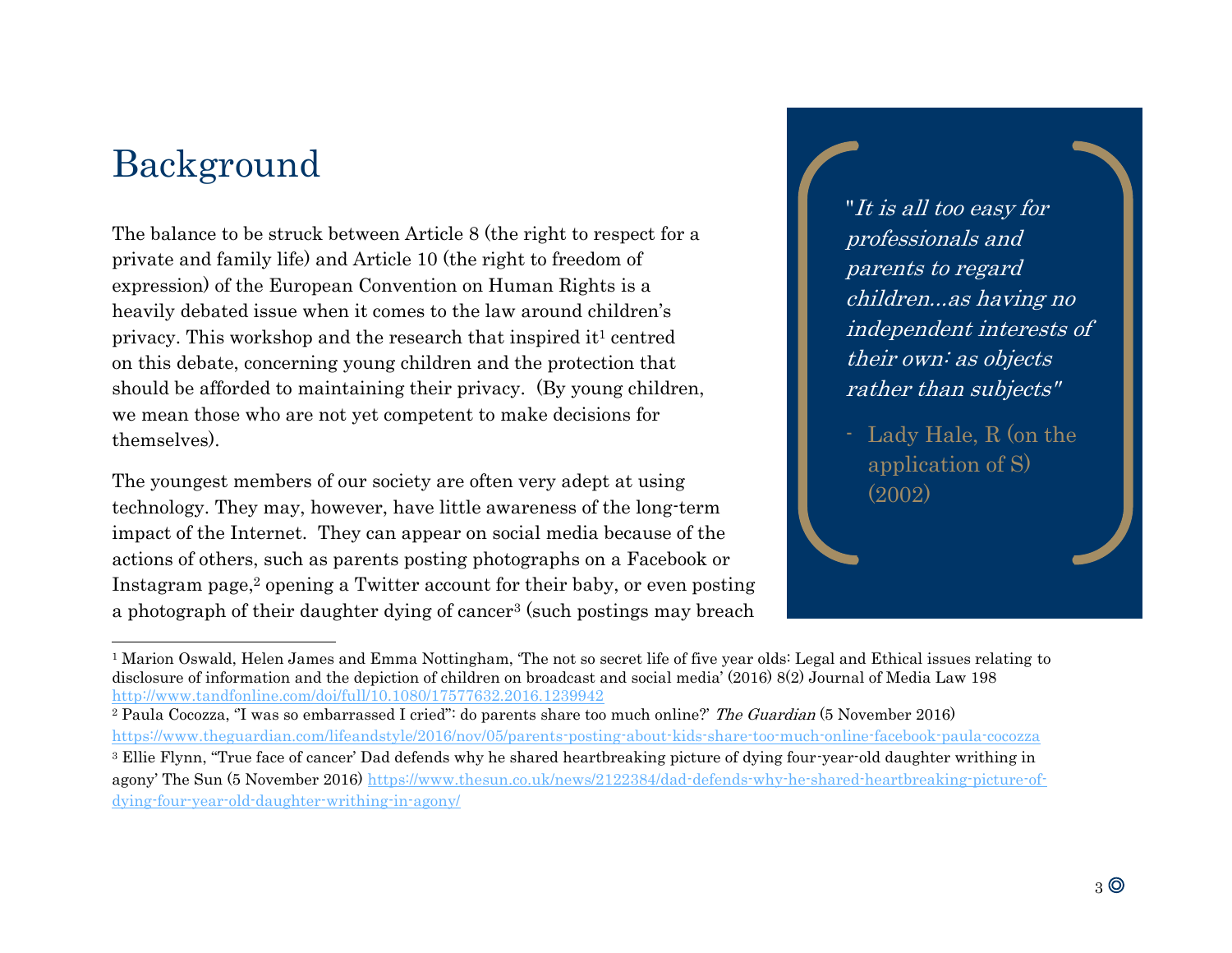# Background

l

The balance to be struck between Article 8 (the right to respect for a private and family life) and Article 10 (the right to freedom of expression) of the European Convention on Human Rights is a heavily debated issue when it comes to the law around children's privacy. This workshop and the research that inspired it<sup>1</sup> centred on this debate, concerning young children and the protection that should be afforded to maintaining their privacy. (By young children, we mean those who are not yet competent to make decisions for themselves).

The youngest members of our society are often very adept at using technology. They may, however, have little awareness of the long-term impact of the Internet. They can appear on social media because of the actions of others, such as parents posting photographs on a Facebook or Instagram page,<sup>2</sup> opening a Twitter account for their baby, or even posting a photograph of their daughter dying of cancer<sup>3</sup> (such postings may breach "It is all too easy for professionals and parents to regard children...as having no independent interests of their own: as objects rather than subjects"

Lady Hale, R (on the application of S) (2002)

<sup>1</sup> Marion Oswald, Helen James and Emma Nottingham, 'The not so secret life of five year olds: Legal and Ethical issues relating to disclosure of information and the depiction of children on broadcast and social media' (2016) 8(2) Journal of Media Law 198 <http://www.tandfonline.com/doi/full/10.1080/17577632.2016.1239942>

<sup>&</sup>lt;sup>2</sup> Paula Cocozza, "I was so embarrassed I cried": do parents share too much online?' The Guardian (5 November 2016) <https://www.theguardian.com/lifeandstyle/2016/nov/05/parents-posting-about-kids-share-too-much-online-facebook-paula-cocozza>

<sup>&</sup>lt;sup>3</sup> Ellie Flynn, "True face of cancer' Dad defends why he shared heartbreaking picture of dying four-year-old daughter writhing in agony' The Sun (5 November 2016) [https://www.thesun.co.uk/news/2122384/dad-defends-why-he-shared-heartbreaking-picture-of](https://www.thesun.co.uk/news/2122384/dad-defends-why-he-shared-heartbreaking-picture-of-dying-four-year-old-daughter-writhing-in-agony/)[dying-four-year-old-daughter-writhing-in-agony/](https://www.thesun.co.uk/news/2122384/dad-defends-why-he-shared-heartbreaking-picture-of-dying-four-year-old-daughter-writhing-in-agony/)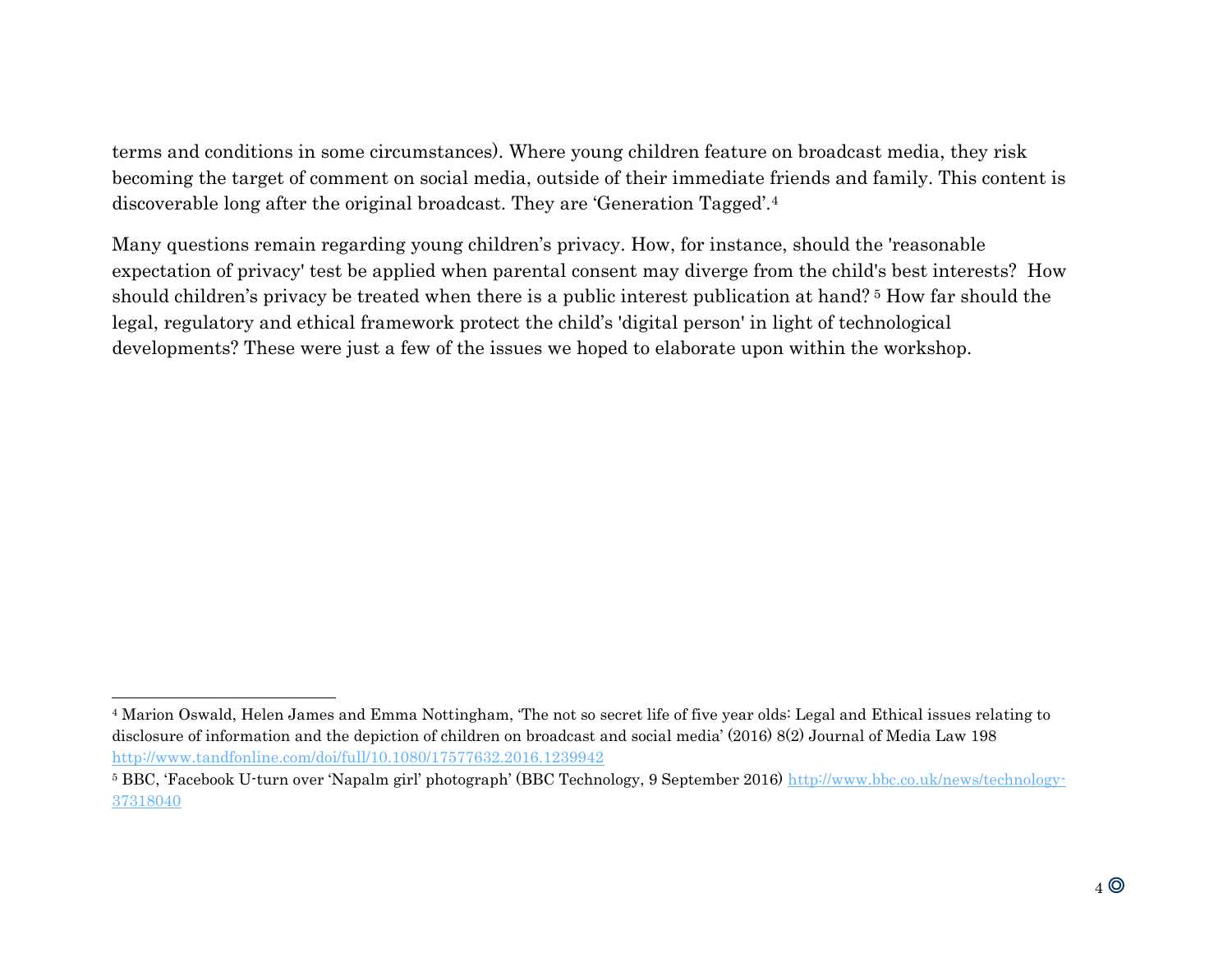terms and conditions in some circumstances). Where young children feature on broadcast media, they risk becoming the target of comment on social media, outside of their immediate friends and family. This content is discoverable long after the original broadcast. They are 'Generation Tagged'.<sup>4</sup>

Many questions remain regarding young children's privacy. How, for instance, should the 'reasonable expectation of privacy' test be applied when parental consent may diverge from the child's best interests? How should children's privacy be treated when there is a public interest publication at hand? <sup>5</sup> How far should the legal, regulatory and ethical framework protect the child's 'digital person' in light of technological developments? These were just a few of the issues we hoped to elaborate upon within the workshop.

<sup>4</sup> Marion Oswald, Helen James and Emma Nottingham, 'The not so secret life of five year olds: Legal and Ethical issues relating to disclosure of information and the depiction of children on broadcast and social media' (2016) 8(2) Journal of Media Law 198 <http://www.tandfonline.com/doi/full/10.1080/17577632.2016.1239942>

<sup>5</sup> BBC, 'Facebook U-turn over 'Napalm girl' photograph' (BBC Technology, 9 September 2016) [http://www.bbc.co.uk/news/technology-](http://www.bbc.co.uk/news/technology-37318040)[37318040](http://www.bbc.co.uk/news/technology-37318040)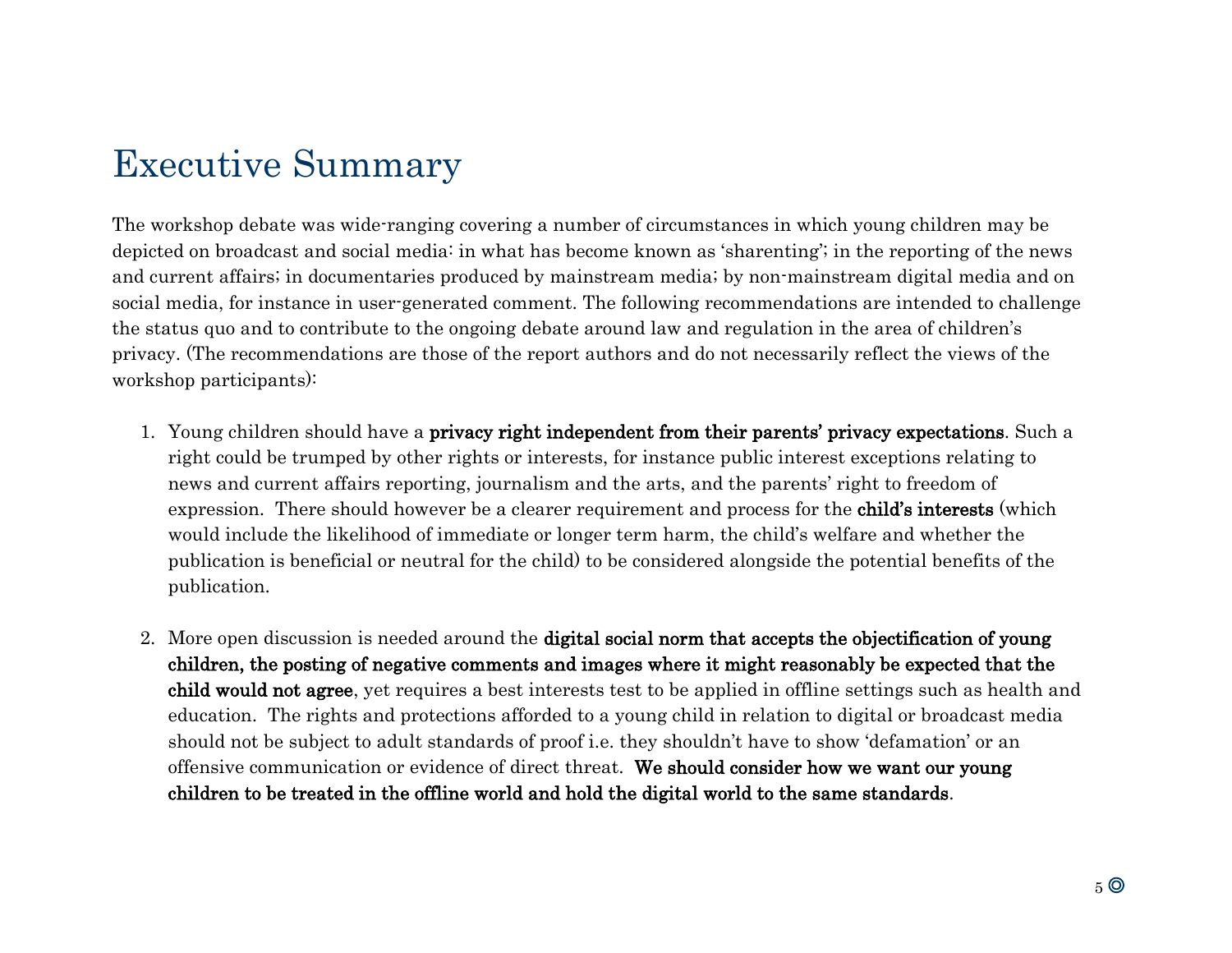# Executive Summary

The workshop debate was wide-ranging covering a number of circumstances in which young children may be depicted on broadcast and social media: in what has become known as 'sharenting'; in the reporting of the news and current affairs; in documentaries produced by mainstream media; by non-mainstream digital media and on social media, for instance in user-generated comment. The following recommendations are intended to challenge the status quo and to contribute to the ongoing debate around law and regulation in the area of children's privacy. (The recommendations are those of the report authors and do not necessarily reflect the views of the workshop participants):

- 1. Young children should have a privacy right independent from their parents' privacy expectations. Such a right could be trumped by other rights or interests, for instance public interest exceptions relating to news and current affairs reporting, journalism and the arts, and the parents' right to freedom of expression. There should however be a clearer requirement and process for the **child's interests** (which would include the likelihood of immediate or longer term harm, the child's welfare and whether the publication is beneficial or neutral for the child) to be considered alongside the potential benefits of the publication.
- 2. More open discussion is needed around the digital social norm that accepts the objectification of young children, the posting of negative comments and images where it might reasonably be expected that the child would not agree, yet requires a best interests test to be applied in offline settings such as health and education. The rights and protections afforded to a young child in relation to digital or broadcast media should not be subject to adult standards of proof i.e. they shouldn't have to show 'defamation' or an offensive communication or evidence of direct threat. We should consider how we want our young children to be treated in the offline world and hold the digital world to the same standards.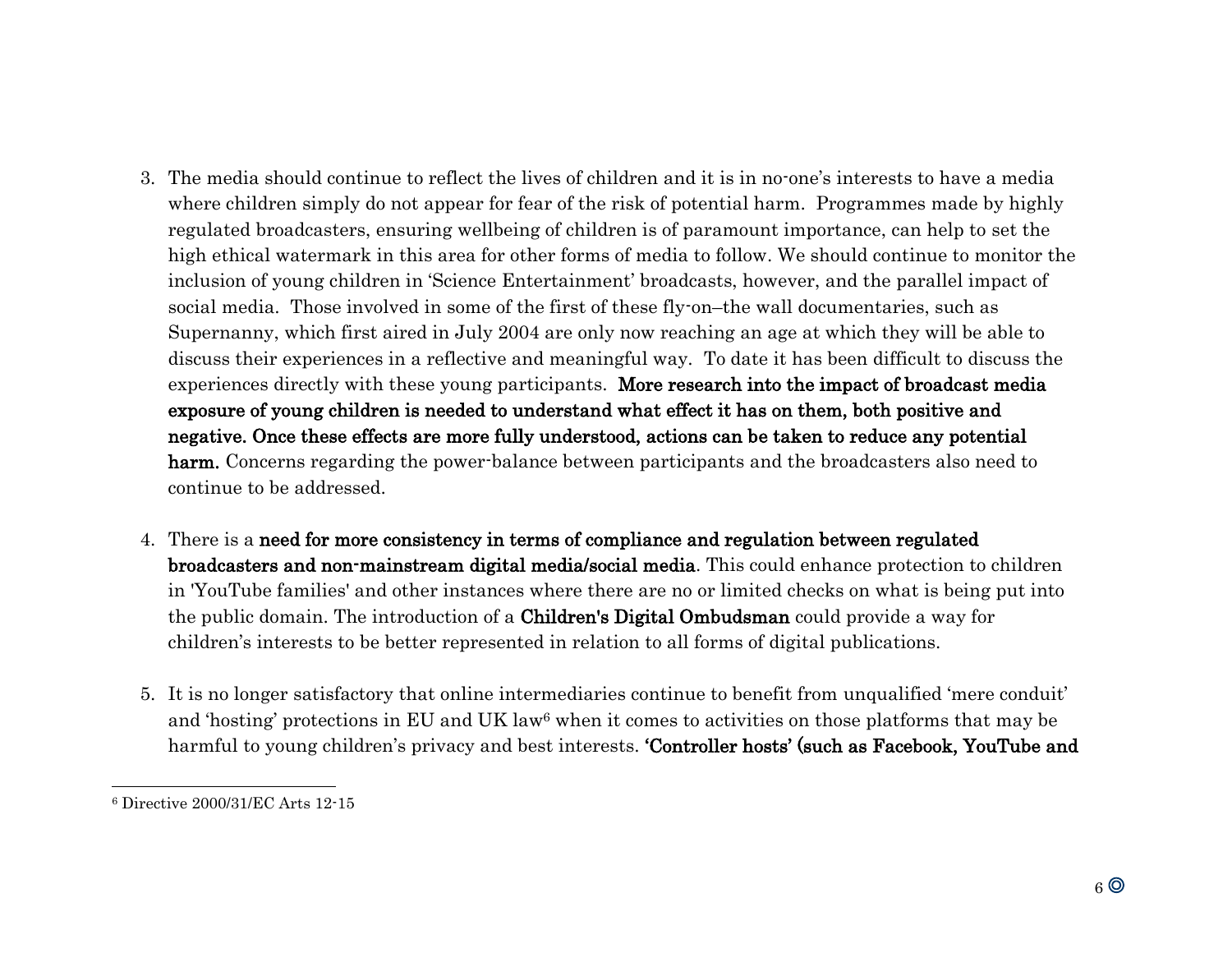- 3. The media should continue to reflect the lives of children and it is in no-one's interests to have a media where children simply do not appear for fear of the risk of potential harm. Programmes made by highly regulated broadcasters, ensuring wellbeing of children is of paramount importance, can help to set the high ethical watermark in this area for other forms of media to follow. We should continue to monitor the inclusion of young children in 'Science Entertainment' broadcasts, however, and the parallel impact of social media. Those involved in some of the first of these fly-on–the wall documentaries, such as Supernanny, which first aired in July 2004 are only now reaching an age at which they will be able to discuss their experiences in a reflective and meaningful way. To date it has been difficult to discuss the experiences directly with these young participants. More research into the impact of broadcast media exposure of young children is needed to understand what effect it has on them, both positive and negative. Once these effects are more fully understood, actions can be taken to reduce any potential harm. Concerns regarding the power-balance between participants and the broadcasters also need to continue to be addressed.
- 4. There is a need for more consistency in terms of compliance and regulation between regulated broadcasters and non-mainstream digital media/social media. This could enhance protection to children in 'YouTube families' and other instances where there are no or limited checks on what is being put into the public domain. The introduction of a Children's Digital Ombudsman could provide a way for children's interests to be better represented in relation to all forms of digital publications.
- 5. It is no longer satisfactory that online intermediaries continue to benefit from unqualified 'mere conduit' and 'hosting' protections in EU and UK law<sup>6</sup> when it comes to activities on those platforms that may be harmful to young children's privacy and best interests. **'Controller hosts' (such as Facebook, YouTube and**

<sup>6</sup> Directive 2000/31/EC Arts 12-15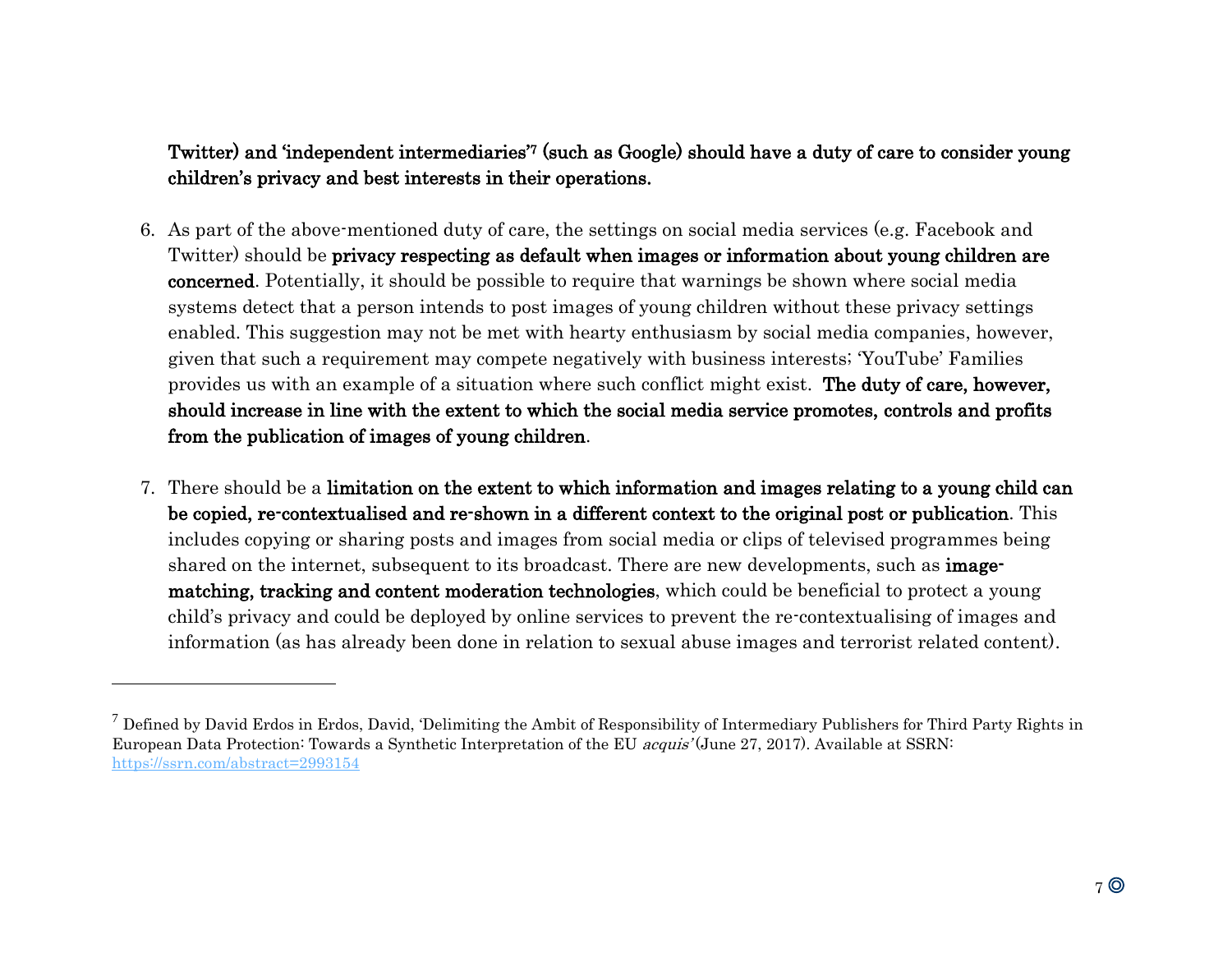#### Twitter) and 'independent intermediaries'7 (such as Google) should have a duty of care to consider young children's privacy and best interests in their operations.

- 6. As part of the above-mentioned duty of care, the settings on social media services (e.g. Facebook and Twitter) should be privacy respecting as default when images or information about young children are concerned. Potentially, it should be possible to require that warnings be shown where social media systems detect that a person intends to post images of young children without these privacy settings enabled. This suggestion may not be met with hearty enthusiasm by social media companies, however, given that such a requirement may compete negatively with business interests; 'YouTube' Families provides us with an example of a situation where such conflict might exist. The duty of care, however, should increase in line with the extent to which the social media service promotes, controls and profits from the publication of images of young children.
- 7. There should be a limitation on the extent to which information and images relating to a young child can be copied, re-contextualised and re-shown in a different context to the original post or publication. This includes copying or sharing posts and images from social media or clips of televised programmes being shared on the internet, subsequent to its broadcast. There are new developments, such as **image**matching, tracking and content moderation technologies, which could be beneficial to protect a young child's privacy and could be deployed by online services to prevent the re-contextualising of images and information (as has already been done in relation to sexual abuse images and terrorist related content).

 $^7$  Defined by David Erdos in Erdos, David, 'Delimiting the Ambit of Responsibility of Intermediary Publishers for Third Party Rights in European Data Protection: Towards a Synthetic Interpretation of the EU acquis' (June 27, 2017). Available at SSRN: <https://ssrn.com/abstract=2993154>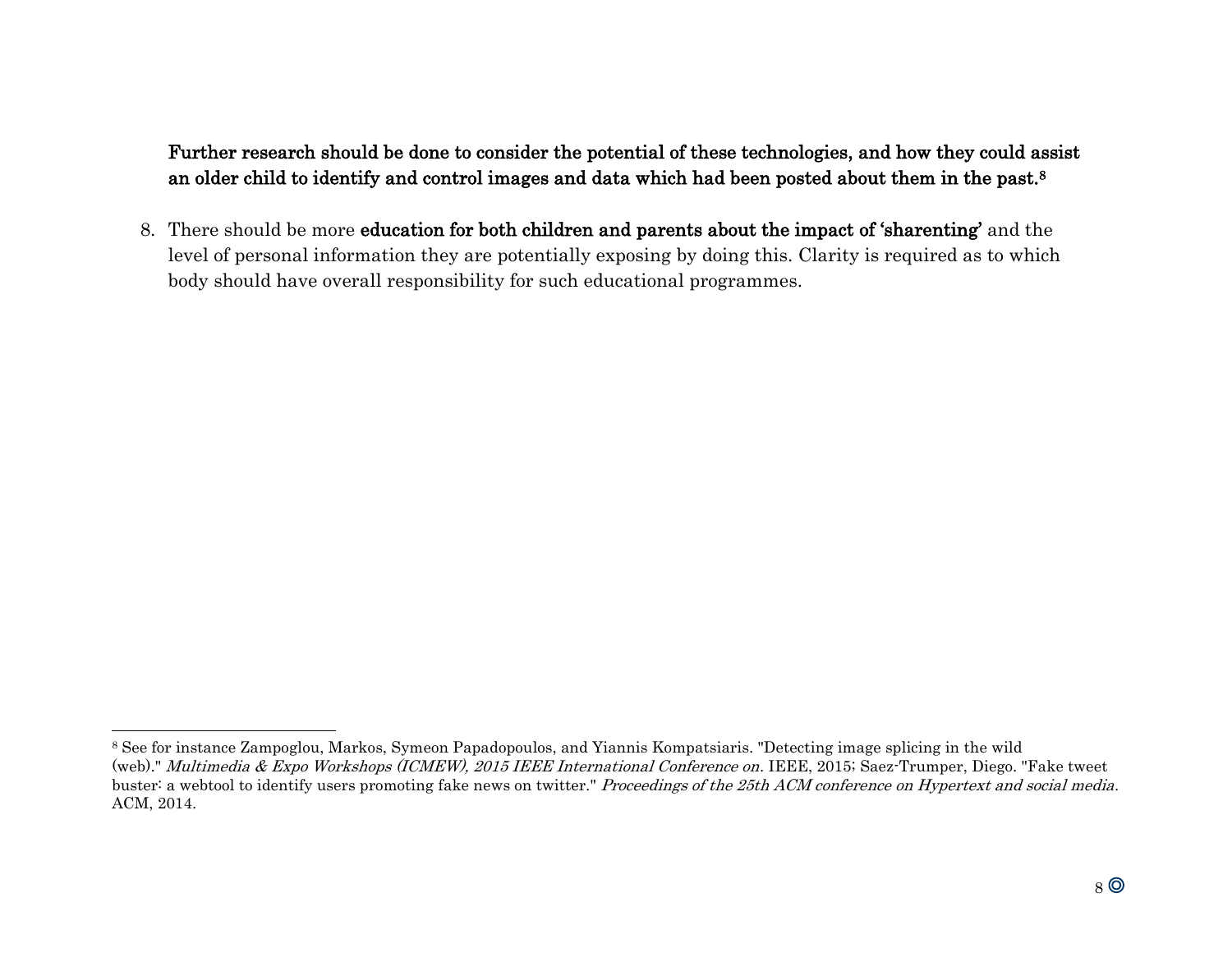Further research should be done to consider the potential of these technologies, and how they could assist an older child to identify and control images and data which had been posted about them in the past.<sup>8</sup>

8. There should be more education for both children and parents about the impact of 'sharenting' and the level of personal information they are potentially exposing by doing this. Clarity is required as to which body should have overall responsibility for such educational programmes.

<sup>8</sup> See for instance Zampoglou, Markos, Symeon Papadopoulos, and Yiannis Kompatsiaris. "Detecting image splicing in the wild (web)." Multimedia & Expo Workshops (ICMEW), 2015 IEEE International Conference on. IEEE, 2015; Saez-Trumper, Diego. "Fake tweet buster: a webtool to identify users promoting fake news on twitter." Proceedings of the 25th ACM conference on Hypertext and social media. ACM, 2014.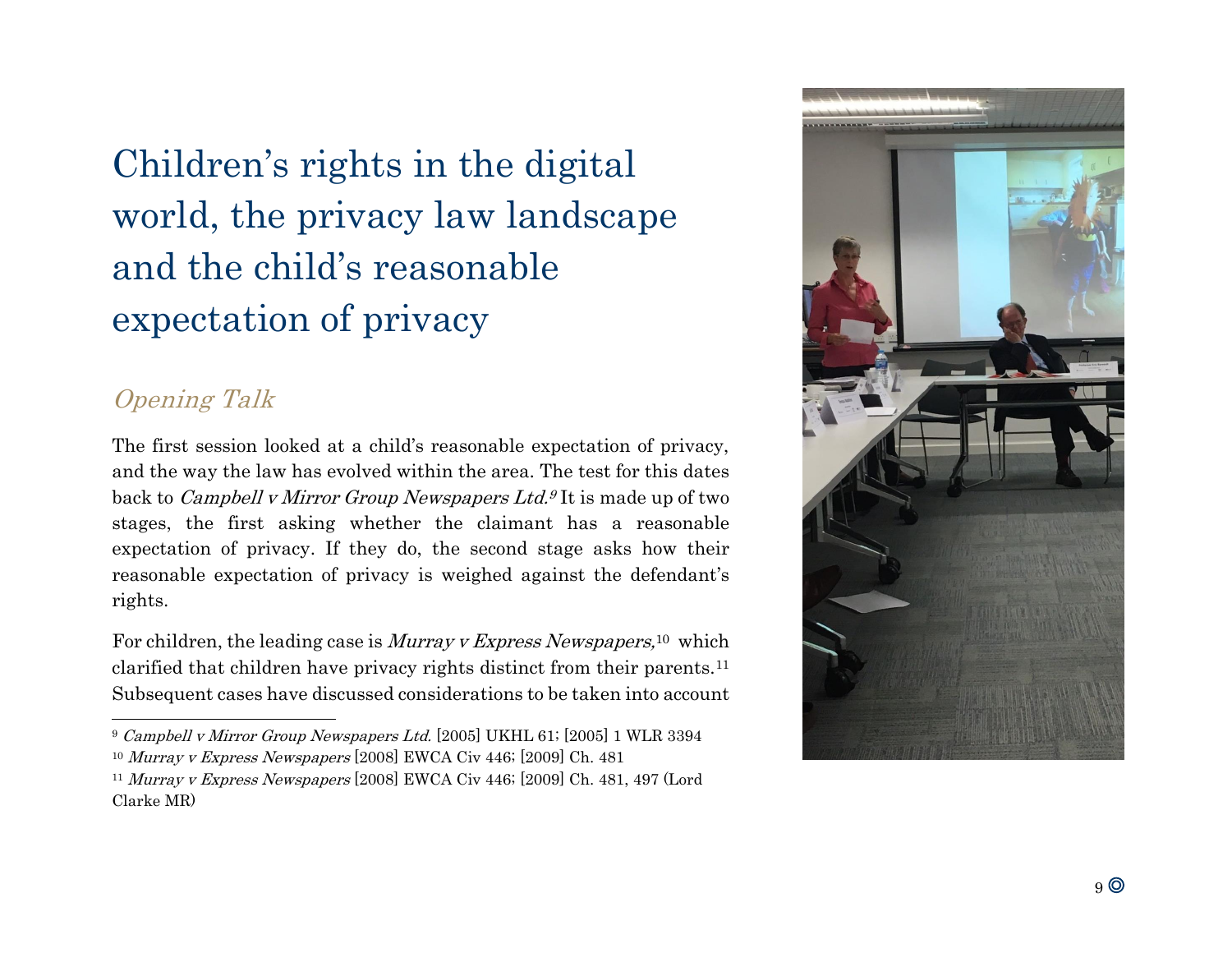Children's rights in the digital world, the privacy law landscape and the child's reasonable expectation of privacy

## Opening Talk

l

The first session looked at a child's reasonable expectation of privacy, and the way the law has evolved within the area. The test for this dates back to *Campbell v Mirror Group Newspapers Ltd.*<sup>9</sup> It is made up of two stages, the first asking whether the claimant has a reasonable expectation of privacy. If they do, the second stage asks how their reasonable expectation of privacy is weighed against the defendant's rights.

For children, the leading case is *Murray v Express Newspapers*,<sup>10</sup> which clarified that children have privacy rights distinct from their parents.<sup>11</sup> Subsequent cases have discussed considerations to be taken into account



<sup>9</sup> Campbell v Mirror Group Newspapers Ltd. [2005] UKHL 61; [2005] 1 WLR 3394

<sup>&</sup>lt;sup>10</sup> Murray v Express Newspapers [2008] EWCA Civ 446; [2009] Ch. 481

<sup>11</sup> Murray v Express Newspapers [2008] EWCA Civ 446; [2009] Ch. 481, 497 (Lord Clarke MR)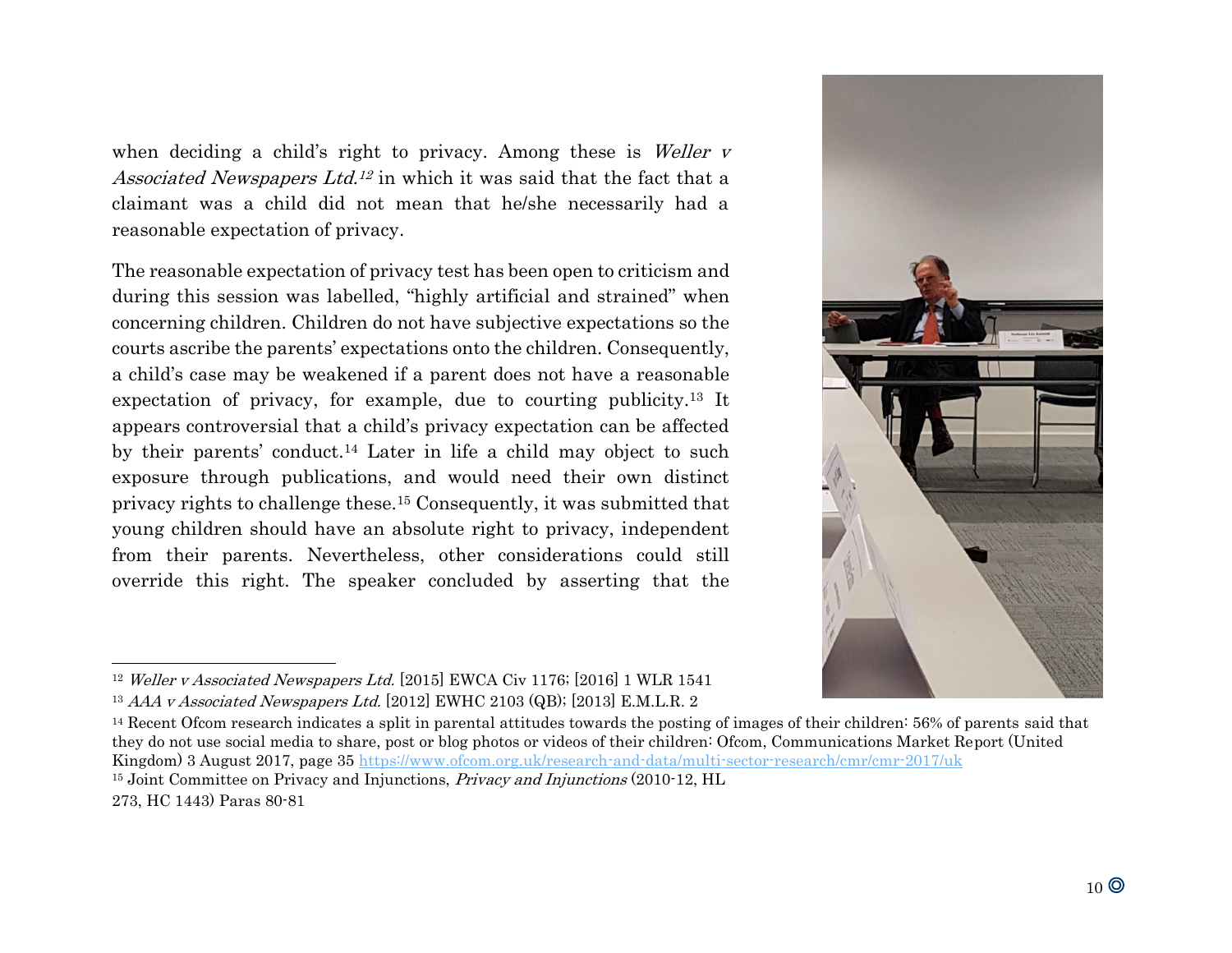when deciding a child's right to privacy. Among these is *Weller v* Associated Newspapers Ltd.<sup>12</sup> in which it was said that the fact that a claimant was a child did not mean that he/she necessarily had a reasonable expectation of privacy.

The reasonable expectation of privacy test has been open to criticism and during this session was labelled, "highly artificial and strained" when concerning children. Children do not have subjective expectations so the courts ascribe the parents' expectations onto the children. Consequently, a child's case may be weakened if a parent does not have a reasonable expectation of privacy, for example, due to courting publicity.<sup>13</sup> It appears controversial that a child's privacy expectation can be affected by their parents' conduct. <sup>14</sup> Later in life a child may object to such exposure through publications, and would need their own distinct privacy rights to challenge these.<sup>15</sup> Consequently, it was submitted that young children should have an absolute right to privacy, independent from their parents. Nevertheless, other considerations could still override this right. The speaker concluded by asserting that the



<sup>12</sup> Weller v Associated Newspapers Ltd. [2015] EWCA Civ 1176; [2016] 1 WLR 1541 <sup>13</sup> AAA v Associated Newspapers Ltd. [2012] EWHC 2103 (QB); [2013] E.M.L.R. 2

<sup>14</sup> Recent Ofcom research indicates a split in parental attitudes towards the posting of images of their children: 56% of parents said that they do not use social media to share, post or blog photos or videos of their children: Ofcom, Communications Market Report (United Kingdom) 3 August 2017, page 35<https://www.ofcom.org.uk/research-and-data/multi-sector-research/cmr/cmr-2017/uk>

<sup>&</sup>lt;sup>15</sup> Joint Committee on Privacy and Injunctions, *Privacy and Injunctions* (2010-12, HL

<sup>273,</sup> HC 1443) Paras 80-81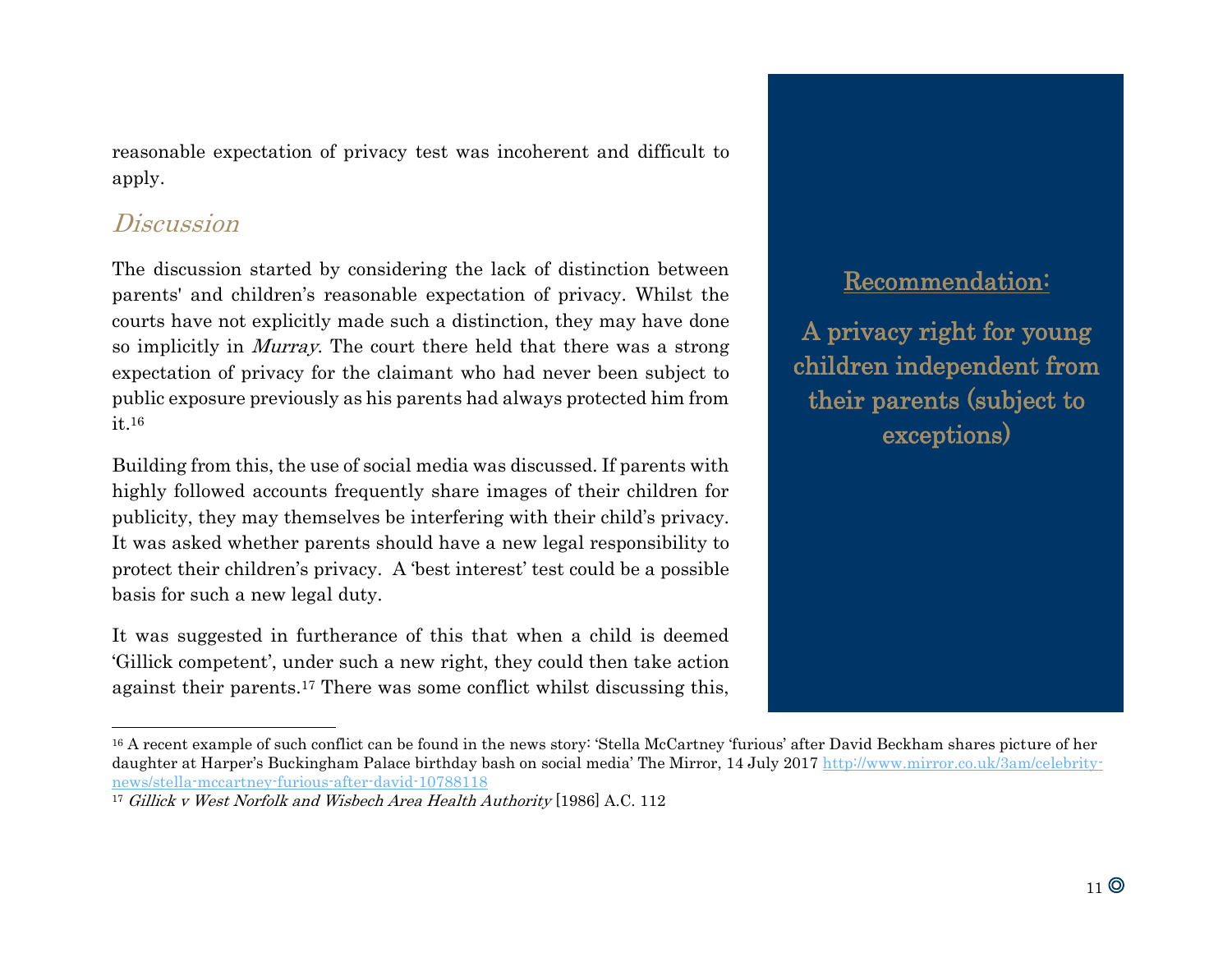reasonable expectation of privacy test was incoherent and difficult to apply.

### **Discussion**

l

The discussion started by considering the lack of distinction between parents' and children's reasonable expectation of privacy. Whilst the courts have not explicitly made such a distinction, they may have done so implicitly in Murray. The court there held that there was a strong expectation of privacy for the claimant who had never been subject to public exposure previously as his parents had always protected him from it. 16

Building from this, the use of social media was discussed. If parents with highly followed accounts frequently share images of their children for publicity, they may themselves be interfering with their child's privacy. It was asked whether parents should have a new legal responsibility to protect their children's privacy. A 'best interest' test could be a possible basis for such a new legal duty.

It was suggested in furtherance of this that when a child is deemed 'Gillick competent', under such a new right, they could then take action against their parents.<sup>17</sup> There was some conflict whilst discussing this,

## Recommendation:

A privacy right for young children independent from their parents (subject to exceptions)

<sup>&</sup>lt;sup>16</sup> A recent example of such conflict can be found in the news story: 'Stella McCartney 'furious' after David Beckham shares picture of her daughter at Harper's Buckingham Palace birthday bash on social media' The Mirror, 14 July 2017 [http://www.mirror.co.uk/3am/celebrity](https://staffmail.winchester.ac.uk/owa/redir.aspx?C=UxZR8ZYDyohP32x-GCSwYSoPKy3qTJ0srPLTIV5CJez2odj2Nd7UCA..&URL=http%3a%2f%2fwww.mirror.co.uk%2f3am%2fcelebrity-news%2fstella-mccartney-furious-after-david-10788118)[news/stella-mccartney-furious-after-david-10788118](https://staffmail.winchester.ac.uk/owa/redir.aspx?C=UxZR8ZYDyohP32x-GCSwYSoPKy3qTJ0srPLTIV5CJez2odj2Nd7UCA..&URL=http%3a%2f%2fwww.mirror.co.uk%2f3am%2fcelebrity-news%2fstella-mccartney-furious-after-david-10788118)

<sup>&</sup>lt;sup>17</sup> Gillick v West Norfolk and Wisbech Area Health Authority [\[1986\] A.C. 112](https://login.westlaw.co.uk/maf/wluk/app/document?src=doc&linktype=ref&context=28&crumb-action=replace&docguid=IAEF992A1E42711DA8FC2A0F0355337E9)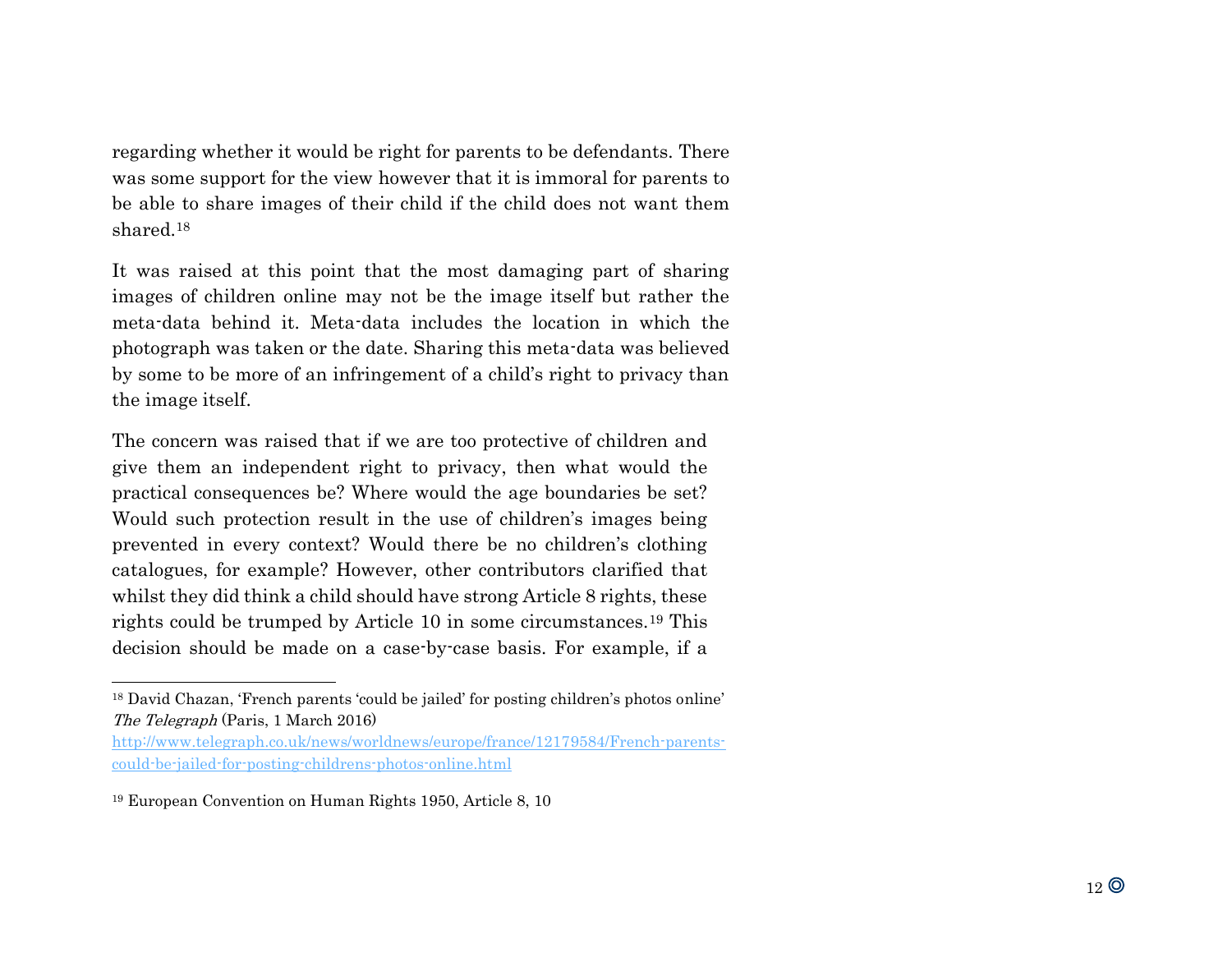regarding whether it would be right for parents to be defendants. There was some support for the view however that it is immoral for parents to be able to share images of their child if the child does not want them shared.<sup>18</sup>

It was raised at this point that the most damaging part of sharing images of children online may not be the image itself but rather the meta-data behind it. Meta-data includes the location in which the photograph was taken or the date. Sharing this meta-data was believed by some to be more of an infringement of a child's right to privacy than the image itself.

The concern was raised that if we are too protective of children and give them an independent right to privacy, then what would the practical consequences be? Where would the age boundaries be set? Would such protection result in the use of children's images being prevented in every context? Would there be no children's clothing catalogues, for example? However, other contributors clarified that whilst they did think a child should have strong Article 8 rights, these rights could be trumped by Article 10 in some circumstances.<sup>19</sup> This decision should be made on a case-by-case basis. For example, if a

<sup>18</sup> David Chazan, 'French parents 'could be jailed' for posting children's photos online' The Telegraph (Paris, 1 March 2016)

[http://www.telegraph.co.uk/news/worldnews/europe/france/12179584/French-parents](http://www.telegraph.co.uk/news/worldnews/europe/france/12179584/French-parents-could-be-jailed-for-posting-childrens-photos-online.html)[could-be-jailed-for-posting-childrens-photos-online.html](http://www.telegraph.co.uk/news/worldnews/europe/france/12179584/French-parents-could-be-jailed-for-posting-childrens-photos-online.html)

<sup>19</sup> European Convention on Human Rights 1950, Article 8, 10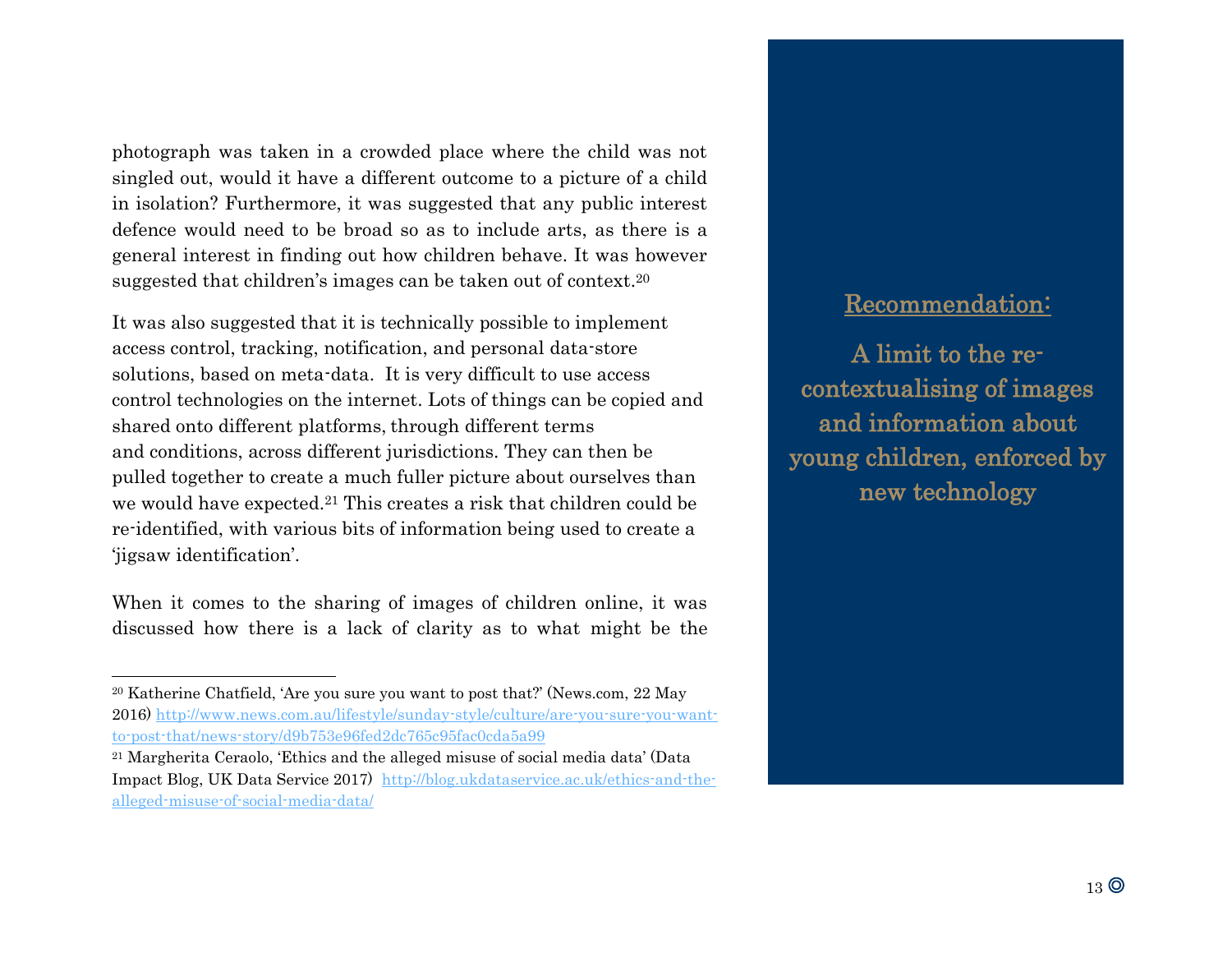photograph was taken in a crowded place where the child was not singled out, would it have a different outcome to a picture of a child in isolation? Furthermore, it was suggested that any public interest defence would need to be broad so as to include arts, as there is a general interest in finding out how children behave. It was however suggested that children's images can be taken out of context.<sup>20</sup>

It was also suggested that it is technically possible to implement access control, tracking, notification, and personal data-store solutions, based on meta-data. It is very difficult to use access control technologies on the internet. Lots of things can be copied and shared onto different platforms, through different terms and conditions, across different jurisdictions. They can then be pulled together to create a much fuller picture about ourselves than we would have expected.<sup>21</sup> This creates a risk that children could be re-identified, with various bits of information being used to create a 'jigsaw identification'.

When it comes to the sharing of images of children online, it was discussed how there is a lack of clarity as to what might be the

l

#### Recommendation:

A limit to the recontextualising of images and information about young children, enforced by new technology

<sup>20</sup> Katherine Chatfield, 'Are you sure you want to post that?' (News.com, 22 May 2016) [http://www.news.com.au/lifestyle/sunday-style/culture/are-you-sure-you-want](http://www.news.com.au/lifestyle/sunday-style/culture/are-you-sure-you-want-to-post-that/news-story/d9b753e96fed2dc765c95fac0cda5a99)[to-post-that/news-story/d9b753e96fed2dc765c95fac0cda5a99](http://www.news.com.au/lifestyle/sunday-style/culture/are-you-sure-you-want-to-post-that/news-story/d9b753e96fed2dc765c95fac0cda5a99)

<sup>21</sup> Margherita Ceraolo, 'Ethics and the alleged misuse of social media data' (Data Impact Blog, UK Data Service 2017) [http://blog.ukdataservice.ac.uk/ethics-and-the](http://blog.ukdataservice.ac.uk/ethics-and-the-alleged-misuse-of-social-media-data/)[alleged-misuse-of-social-media-data/](http://blog.ukdataservice.ac.uk/ethics-and-the-alleged-misuse-of-social-media-data/)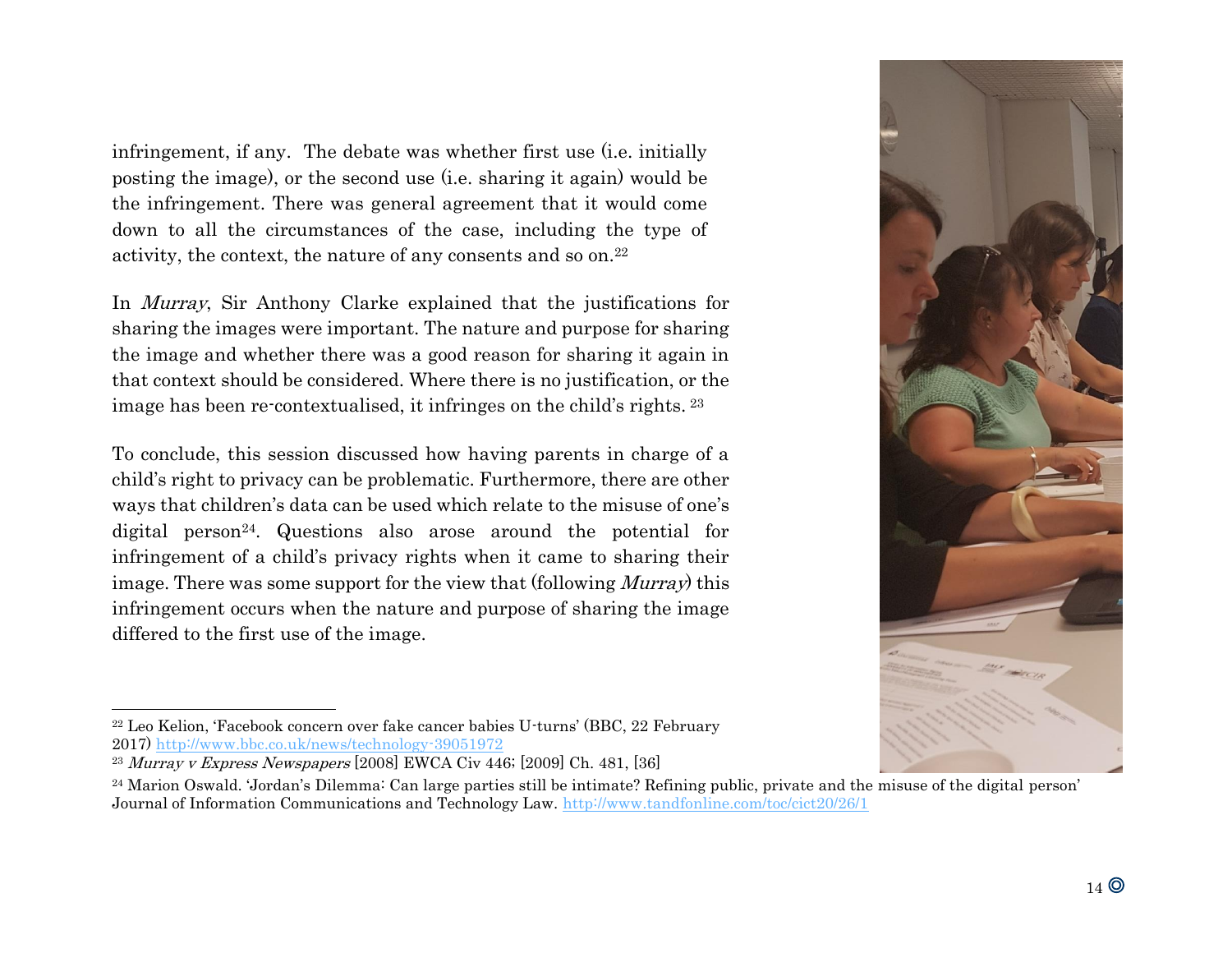infringement, if any. The debate was whether first use (i.e. initially posting the image), or the second use (i.e. sharing it again) would be the infringement. There was general agreement that it would come down to all the circumstances of the case, including the type of activity, the context, the nature of any consents and so on. 22

In Murray, Sir Anthony Clarke explained that the justifications for sharing the images were important. The nature and purpose for sharing the image and whether there was a good reason for sharing it again in that context should be considered. Where there is no justification, or the image has been re-contextualised, it infringes on the child's rights. <sup>23</sup>

To conclude, this session discussed how having parents in charge of a child's right to privacy can be problematic. Furthermore, there are other ways that children's data can be used which relate to the misuse of one's digital person<sup>24</sup>. Questions also arose around the potential for infringement of a child's privacy rights when it came to sharing their image. There was some support for the view that (following *Murray*) this infringement occurs when the nature and purpose of sharing the image differed to the first use of the image.



<sup>22</sup> Leo Kelion, 'Facebook concern over fake cancer babies U-turns' (BBC, 22 February 2017)<http://www.bbc.co.uk/news/technology-39051972>

<sup>23</sup> Murray v Express Newspapers [2008] EWCA Civ 446; [2009] Ch. 481, [36]

<sup>24</sup> Marion Oswald. 'Jordan's Dilemma: Can large parties still be intimate? Refining public, private and the misuse of the digital person' Journal of Information Communications and Technology Law.<http://www.tandfonline.com/toc/cict20/26/1>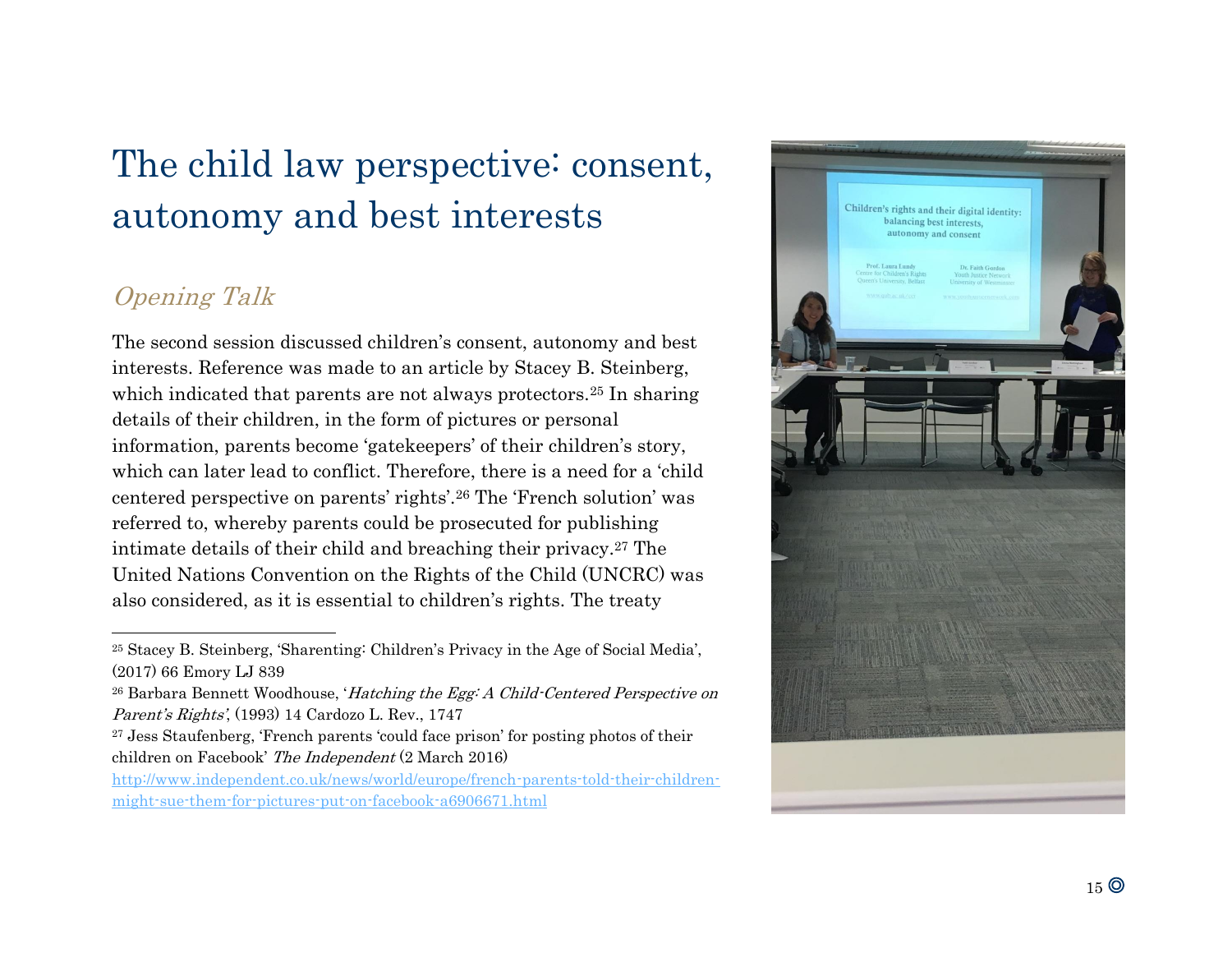# The child law perspective: consent, autonomy and best interests

# Opening Talk

l

The second session discussed children's consent, autonomy and best interests. Reference was made to an article by Stacey B. Steinberg, which indicated that parents are not always protectors.<sup>25</sup> In sharing details of their children, in the form of pictures or personal information, parents become 'gatekeepers' of their children's story, which can later lead to conflict. Therefore, there is a need for a 'child centered perspective on parents' rights'.<sup>26</sup> The 'French solution' was referred to, whereby parents could be prosecuted for publishing intimate details of their child and breaching their privacy.<sup>27</sup> The United Nations Convention on the Rights of the Child (UNCRC) was also considered, as it is essential to children's rights. The treaty

[http://www.independent.co.uk/news/world/europe/french-parents-told-their-children](http://www.independent.co.uk/news/world/europe/french-parents-told-their-children-might-sue-them-for-pictures-put-on-facebook-a6906671.html)[might-sue-them-for-pictures-put-on-facebook-a6906671.html](http://www.independent.co.uk/news/world/europe/french-parents-told-their-children-might-sue-them-for-pictures-put-on-facebook-a6906671.html)



<sup>25</sup> Stacey B. Steinberg, 'Sharenting: Children's Privacy in the Age of Social Media', (2017) 66 Emory LJ 839

<sup>&</sup>lt;sup>26</sup> Barbara Bennett Woodhouse, 'Hatching the Egg: A Child-Centered Perspective on Parent's Rights', (1993) 14 Cardozo L. Rev., 1747

<sup>27</sup> Jess Staufenberg, 'French parents 'could face prison' for posting photos of their children on Facebook' The Independent (2 March 2016)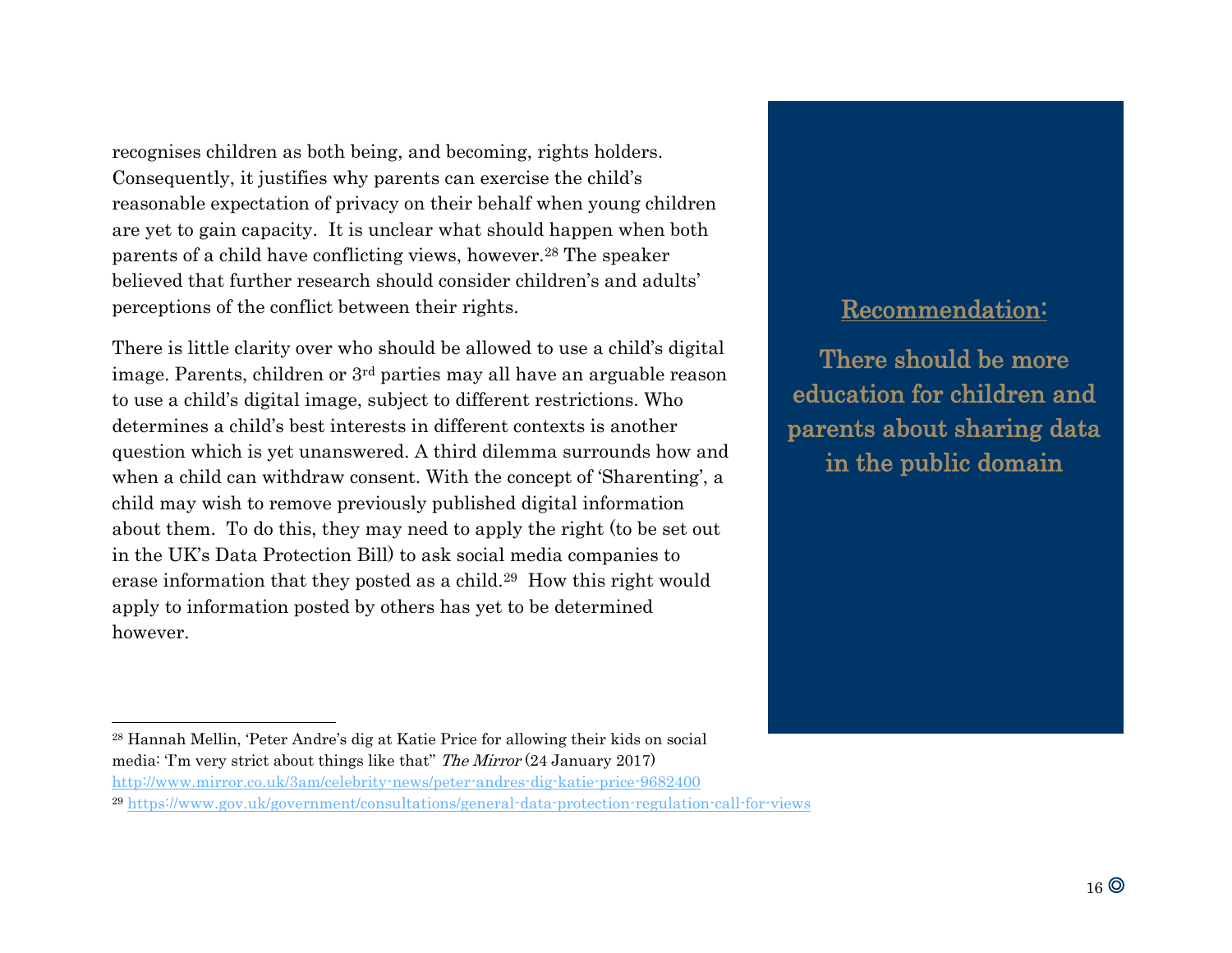recognises children as both being, and becoming, rights holders. Consequently, it justifies why parents can exercise the child's reasonable expectation of privacy on their behalf when young children are yet to gain capacity. It is unclear what should happen when both parents of a child have conflicting views, however.<sup>28</sup> The speaker believed that further research should consider children's and adults' perceptions of the conflict between their rights.

There is little clarity over who should be allowed to use a child's digital image. Parents, children or 3rd parties may all have an arguable reason to use a child's digital image, subject to different restrictions. Who determines a child's best interests in different contexts is another question which is yet unanswered. A third dilemma surrounds how and when a child can withdraw consent. With the concept of 'Sharenting', a child may wish to remove previously published digital information about them. To do this, they may need to apply the right (to be set out in the UK's Data Protection Bill) to ask social media companies to erase information that they posted as a child.29 How this right would apply to information posted by others has yet to be determined however.

### Recommendation:

There should be more education for children and parents about sharing data in the public domain

l

<http://www.mirror.co.uk/3am/celebrity-news/peter-andres-dig-katie-price-9682400>

<sup>28</sup> Hannah Mellin, 'Peter Andre's dig at Katie Price for allowing their kids on social media: 'I'm very strict about things like that'' The Mirror (24 January 2017)

<sup>29</sup> <https://www.gov.uk/government/consultations/general-data-protection-regulation-call-for-views>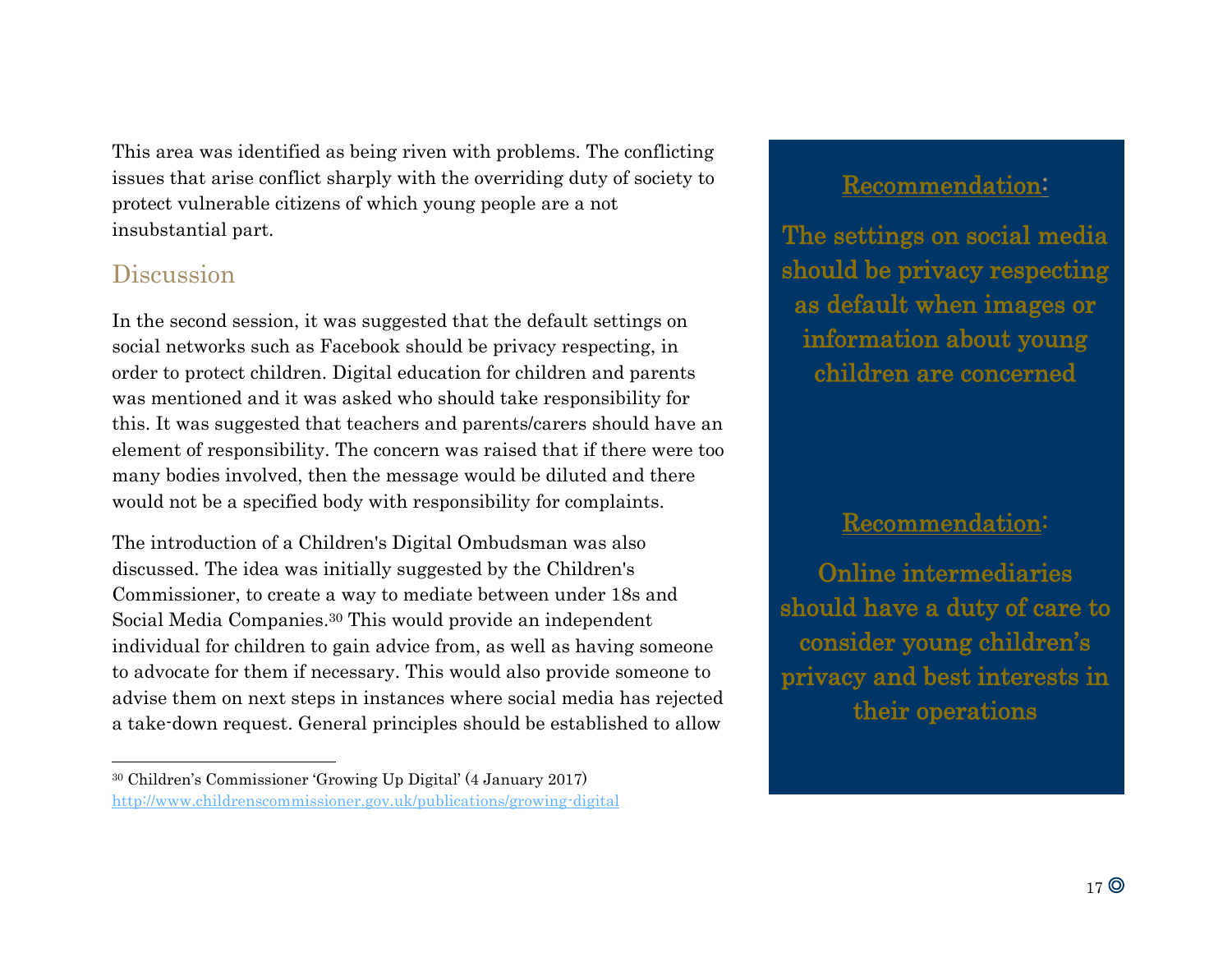This area was identified as being riven with problems. The conflicting issues that arise conflict sharply with the overriding duty of society to protect vulnerable citizens of which young people are a not insubstantial part.

## Discussion

In the second session, it was suggested that the default settings on social networks such as Facebook should be privacy respecting, in order to protect children. Digital education for children and parents was mentioned and it was asked who should take responsibility for this. It was suggested that teachers and parents/carers should have an element of responsibility. The concern was raised that if there were too many bodies involved, then the message would be diluted and there would not be a specified body with responsibility for complaints.

The introduction of a Children's Digital Ombudsman was also discussed. The idea was initially suggested by the Children's Commissioner, to create a way to mediate between under 18s and Social Media Companies.<sup>30</sup> This would provide an independent individual for children to gain advice from, as well as having someone to advocate for them if necessary. This would also provide someone to advise them on next steps in instances where social media has rejected a take-down request. General principles should be established to allow

### Recommendation:

The settings on social media should be privacy respecting as default when images or information about young children are concerned

### Recommendation:

Online intermediaries should have a duty of care to consider young children's privacy and best interests in their operations

<sup>30</sup> Children's Commissioner 'Growing Up Digital' (4 January 2017) <http://www.childrenscommissioner.gov.uk/publications/growing-digital>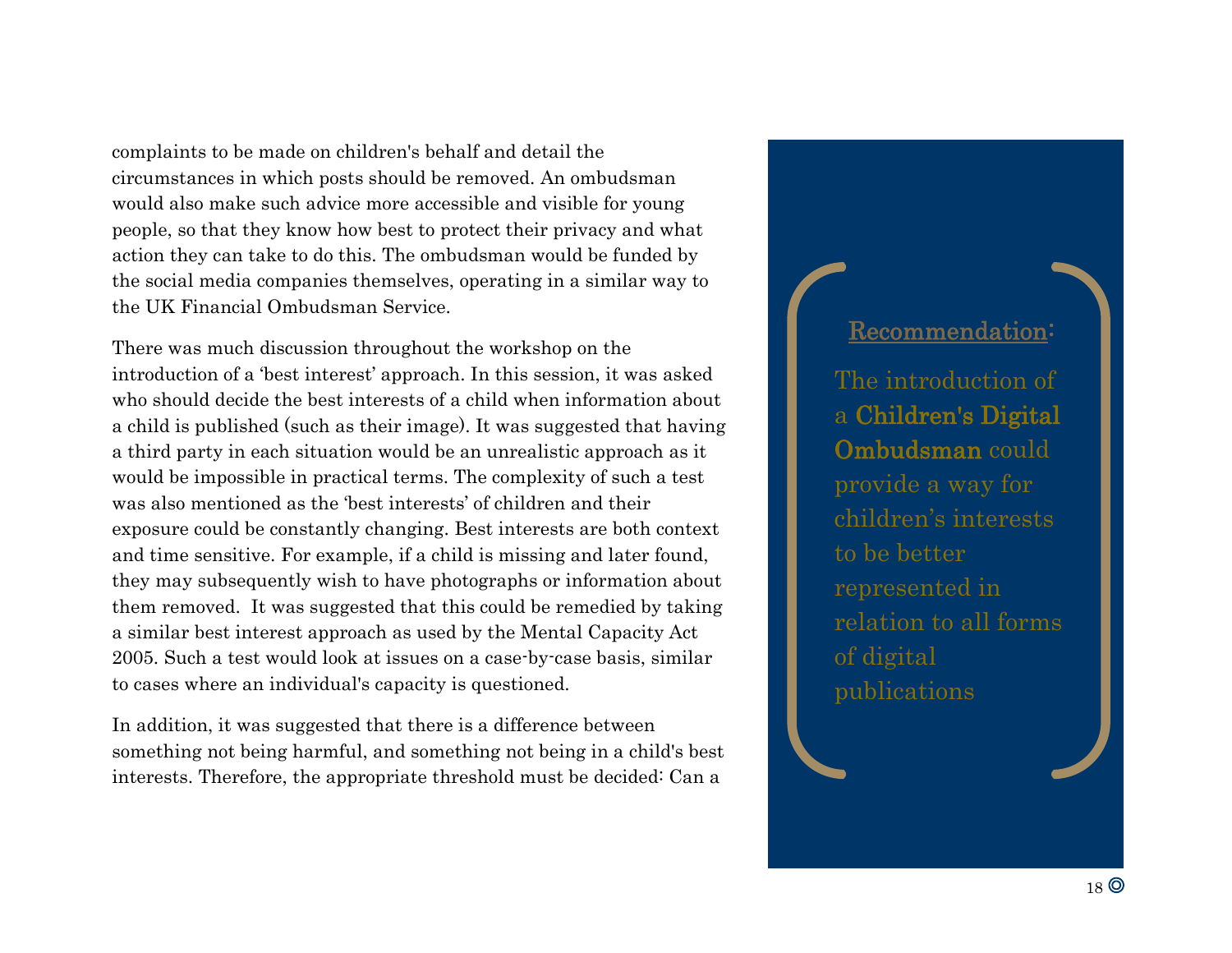complaints to be made on children's behalf and detail the circumstances in which posts should be removed. An ombudsman would also make such advice more accessible and visible for young people, so that they know how best to protect their privacy and what action they can take to do this. The ombudsman would be funded by the social media companies themselves, operating in a similar way to the UK Financial Ombudsman Service.

There was much discussion throughout the workshop on the introduction of a 'best interest' approach. In this session, it was asked who should decide the best interests of a child when information about a child is published (such as their image). It was suggested that having a third party in each situation would be an unrealistic approach as it would be impossible in practical terms. The complexity of such a test was also mentioned as the 'best interests' of children and their exposure could be constantly changing. Best interests are both context and time sensitive. For example, if a child is missing and later found, they may subsequently wish to have photographs or information about them removed. It was suggested that this could be remedied by taking a similar best interest approach as used by the Mental Capacity Act 2005. Such a test would look at issues on a case-by-case basis, similar to cases where an individual's capacity is questioned.

In addition, it was suggested that there is a difference between something not being harmful, and something not being in a child's best interests. Therefore, the appropriate threshold must be decided: Can a

### Recommendation:

The introduction of a Children's Digital Ombudsman could provide a way for children's interests to be better represented in relation to all forms of digital publications

- Workshop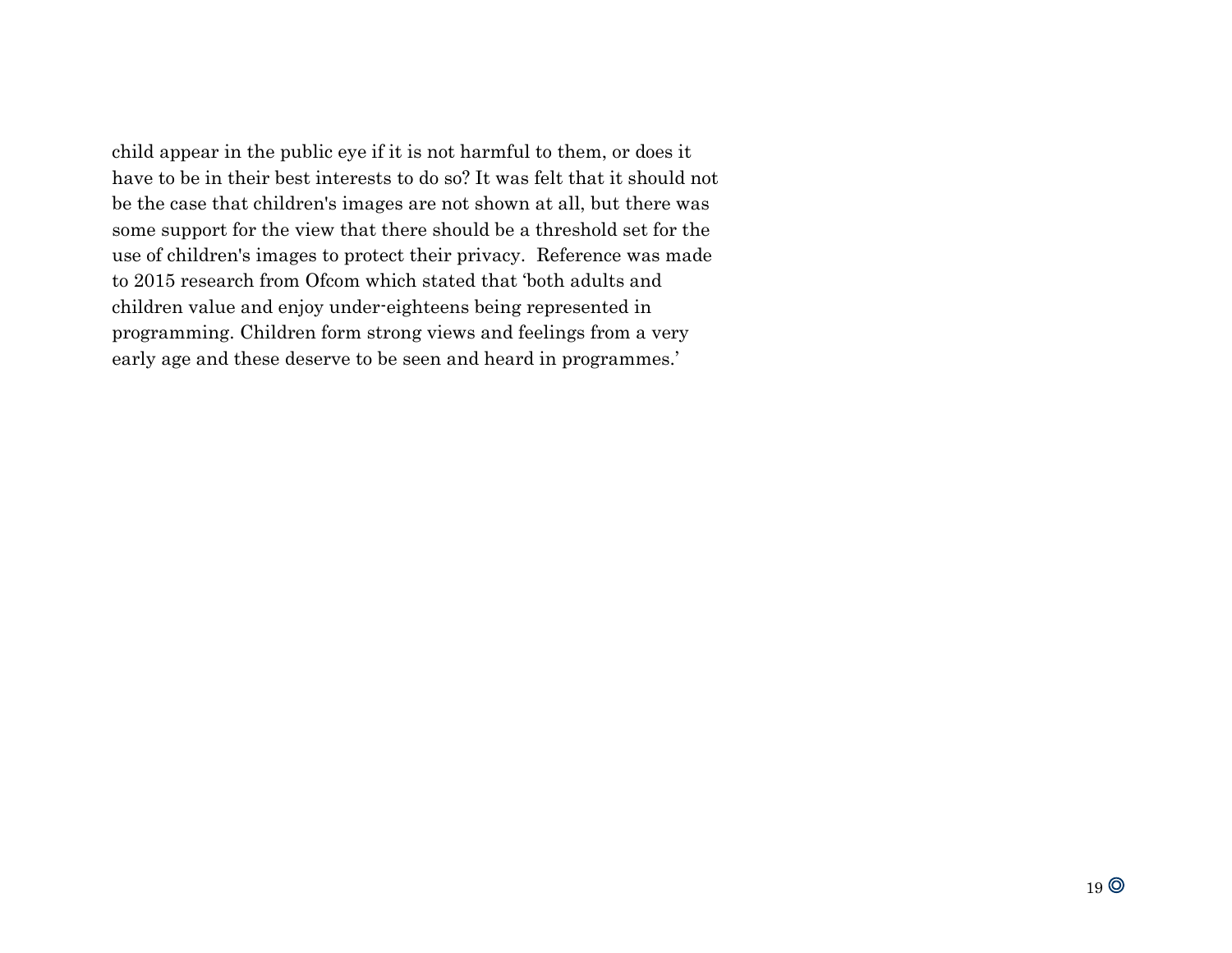child appear in the public eye if it is not harmful to them, or does it have to be in their best interests to do so? It was felt that it should not be the case that children's images are not shown at all, but there was some support for the view that there should be a threshold set for the use of children's images to protect their privacy. Reference was made to 2015 research from Ofcom which stated that 'both adults and children value and enjoy under-eighteens being represented in programming. Children form strong views and feelings from a very early age and these deserve to be seen and heard in programmes.'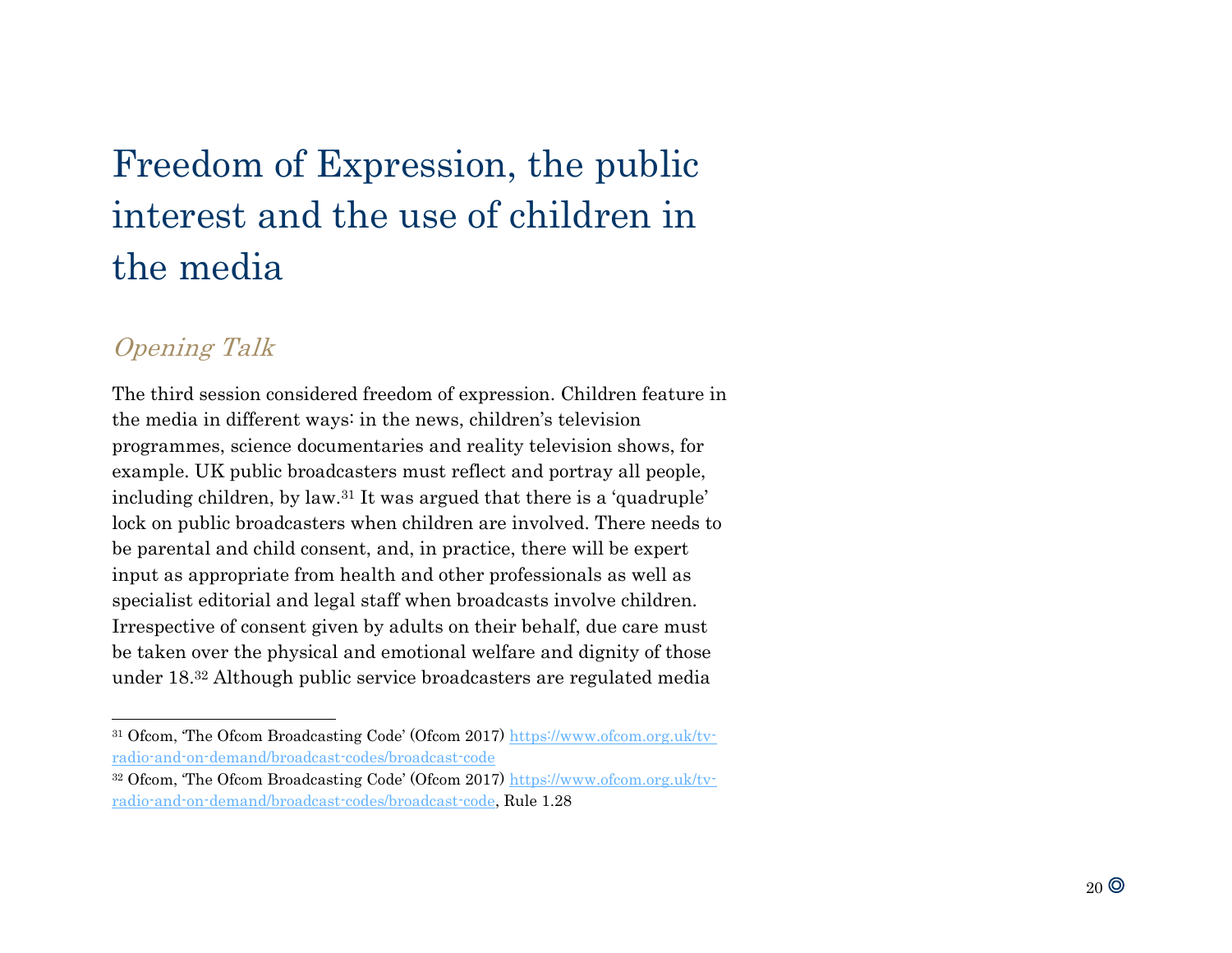# Freedom of Expression, the public interest and the use of children in the media

## Opening Talk

l

The third session considered freedom of expression. Children feature in the media in different ways: in the news, children's television programmes, science documentaries and reality television shows, for example. UK public broadcasters must reflect and portray all people, including children, by law.<sup>31</sup> It was argued that there is a 'quadruple' lock on public broadcasters when children are involved. There needs to be parental and child consent, and, in practice, there will be expert input as appropriate from health and other professionals as well as specialist editorial and legal staff when broadcasts involve children. Irrespective of consent given by adults on their behalf, due care must be taken over the physical and emotional welfare and dignity of those under 18. <sup>32</sup> Although public service broadcasters are regulated media

<sup>31</sup> Ofcom, 'The Ofcom Broadcasting Code' (Ofcom 2017) [https://www.ofcom.org.uk/tv](https://www.ofcom.org.uk/tv-radio-and-on-demand/broadcast-codes/broadcast-code)[radio-and-on-demand/broadcast-codes/broadcast-code](https://www.ofcom.org.uk/tv-radio-and-on-demand/broadcast-codes/broadcast-code)

<sup>&</sup>lt;sup>32</sup> Ofcom, 'The Ofcom Broadcasting Code' (Ofcom 2017) [https://www.ofcom.org.uk/tv](https://www.ofcom.org.uk/tv-radio-and-on-demand/broadcast-codes/broadcast-code)[radio-and-on-demand/broadcast-codes/broadcast-code,](https://www.ofcom.org.uk/tv-radio-and-on-demand/broadcast-codes/broadcast-code) Rule 1.28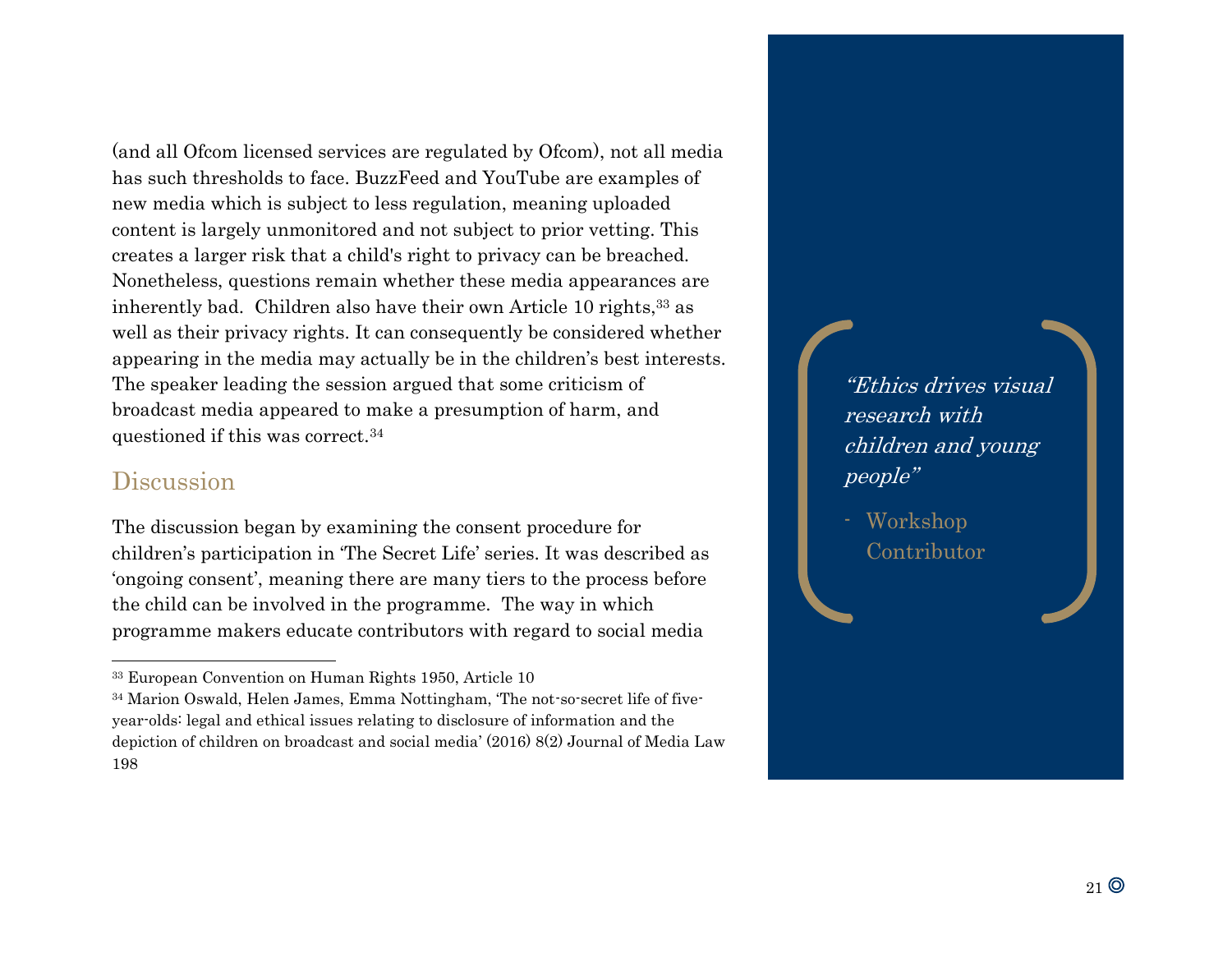(and all Ofcom licensed services are regulated by Ofcom), not all media has such thresholds to face. BuzzFeed and YouTube are examples of new media which is subject to less regulation, meaning uploaded content is largely unmonitored and not subject to prior vetting. This creates a larger risk that a child's right to privacy can be breached. Nonetheless, questions remain whether these media appearances are inherently bad. Children also have their own Article 10 rights,<sup>33</sup> as well as their privacy rights. It can consequently be considered whether appearing in the media may actually be in the children's best interests. The speaker leading the session argued that some criticism of broadcast media appeared to make a presumption of harm, and questioned if this was correct.<sup>34</sup>

#### Discussion

l

The discussion began by examining the consent procedure for children's participation in 'The Secret Life' series. It was described as 'ongoing consent', meaning there are many tiers to the process before the child can be involved in the programme. The way in which programme makers educate contributors with regard to social media

"Ethics drives visual research with children and young people"

- Workshop Contributor

<sup>33</sup> European Convention on Human Rights 1950, Article 10

<sup>34</sup> Marion Oswald, Helen James, Emma Nottingham, 'The not-so-secret life of fiveyear-olds: legal and ethical issues relating to disclosure of information and the depiction of children on broadcast and social media' (2016) 8(2) Journal of Media Law 198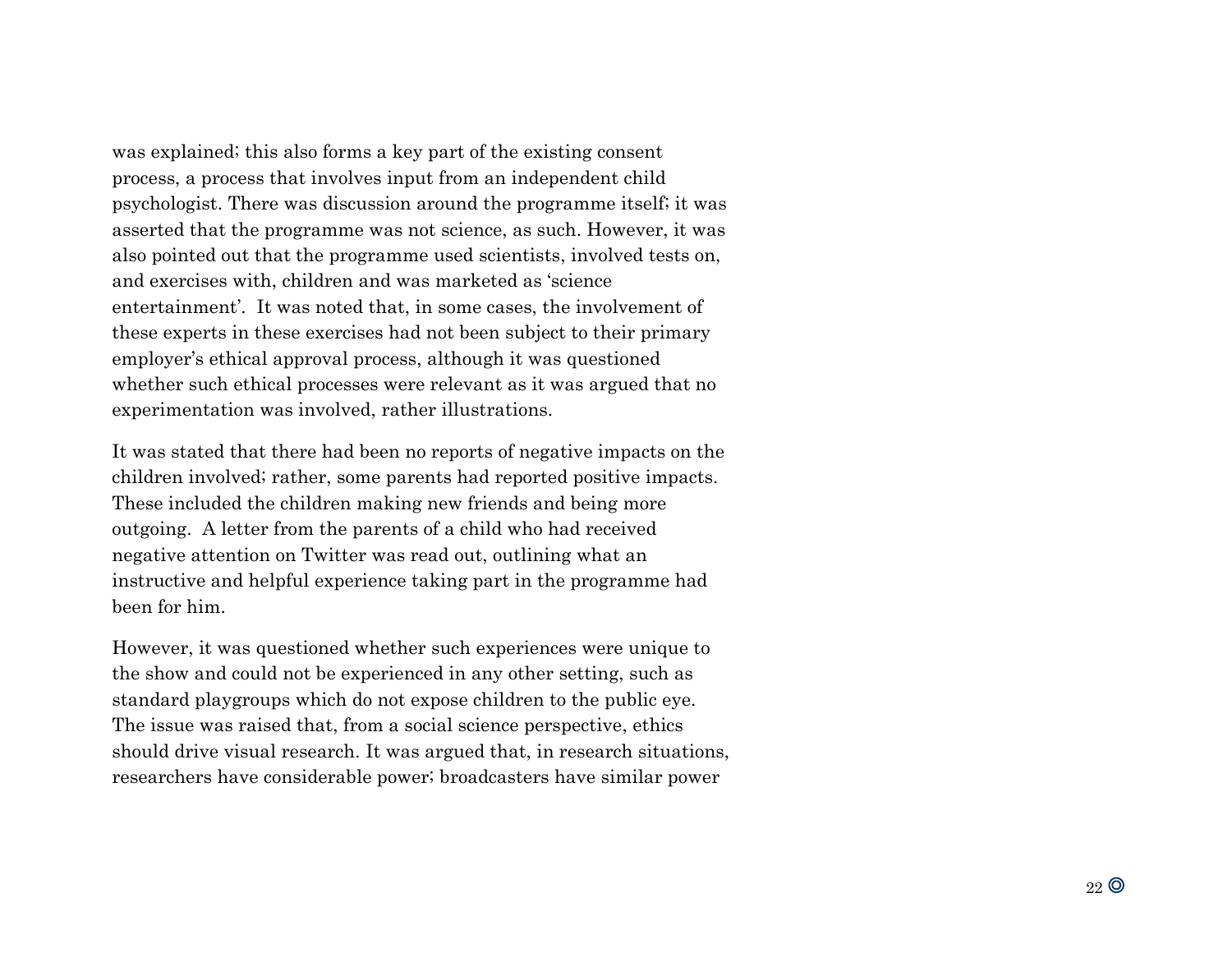was explained; this also forms a key part of the existing consent process, a process that involves input from an independent child psychologist. There was discussion around the programme itself; it was asserted that the programme was not science, as such. However, it was also pointed out that the programme used scientists, involved tests on, and exercises with, children and was marketed as 'science entertainment'. It was noted that, in some cases, the involvement of these experts in these exercises had not been subject to their primary employer's ethical approval process, although it was questioned whether such ethical processes were relevant as it was argued that no experimentation was involved, rather illustrations.

It was stated that there had been no reports of negative impacts on the children involved; rather, some parents had reported positive impacts. These included the children making new friends and being more outgoing. A letter from the parents of a child who had received negative attention on Twitter was read out, outlining what an instructive and helpful experience taking part in the programme had been for him.

However, it was questioned whether such experiences were unique to the show and could not be experienced in any other setting, such as standard playgroups which do not expose children to the public eye. The issue was raised that, from a social science perspective, ethics should drive visual research. It was argued that, in research situations, researchers have considerable power; broadcasters have similar power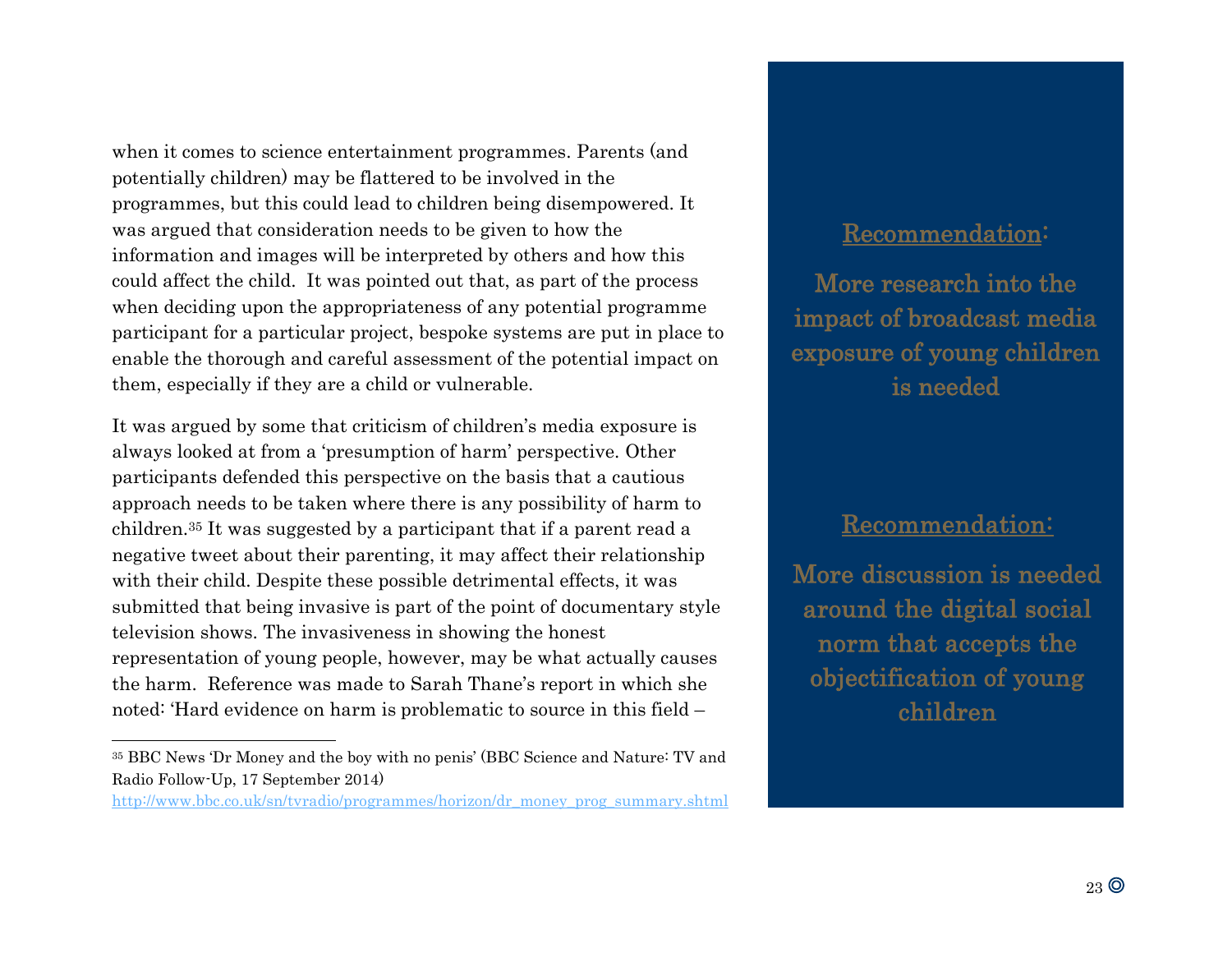when it comes to science entertainment programmes. Parents (and potentially children) may be flattered to be involved in the programmes, but this could lead to children being disempowered. It was argued that consideration needs to be given to how the information and images will be interpreted by others and how this could affect the child. It was pointed out that, as part of the process when deciding upon the appropriateness of any potential programme participant for a particular project, bespoke systems are put in place to enable the thorough and careful assessment of the potential impact on them, especially if they are a child or vulnerable.

It was argued by some that criticism of children's media exposure is always looked at from a 'presumption of harm' perspective. Other participants defended this perspective on the basis that a cautious approach needs to be taken where there is any possibility of harm to children.<sup>35</sup> It was suggested by a participant that if a parent read a negative tweet about their parenting, it may affect their relationship with their child. Despite these possible detrimental effects, it was submitted that being invasive is part of the point of documentary style television shows. The invasiveness in showing the honest representation of young people, however, may be what actually causes the harm. Reference was made to Sarah Thane's report in which she noted: 'Hard evidence on harm is problematic to source in this field –

l

#### Recommendation:

More research into the impact of broadcast media exposure of young children is needed

#### Recommendation:

More discussion is needed around the digital social norm that accepts the objectification of young children

<sup>35</sup> BBC News 'Dr Money and the boy with no penis' (BBC Science and Nature: TV and Radio Follow-Up, 17 September 2014)

[http://www.bbc.co.uk/sn/tvradio/programmes/horizon/dr\\_money\\_prog\\_summary.shtml](http://www.bbc.co.uk/sn/tvradio/programmes/horizon/dr_money_prog_summary.shtml)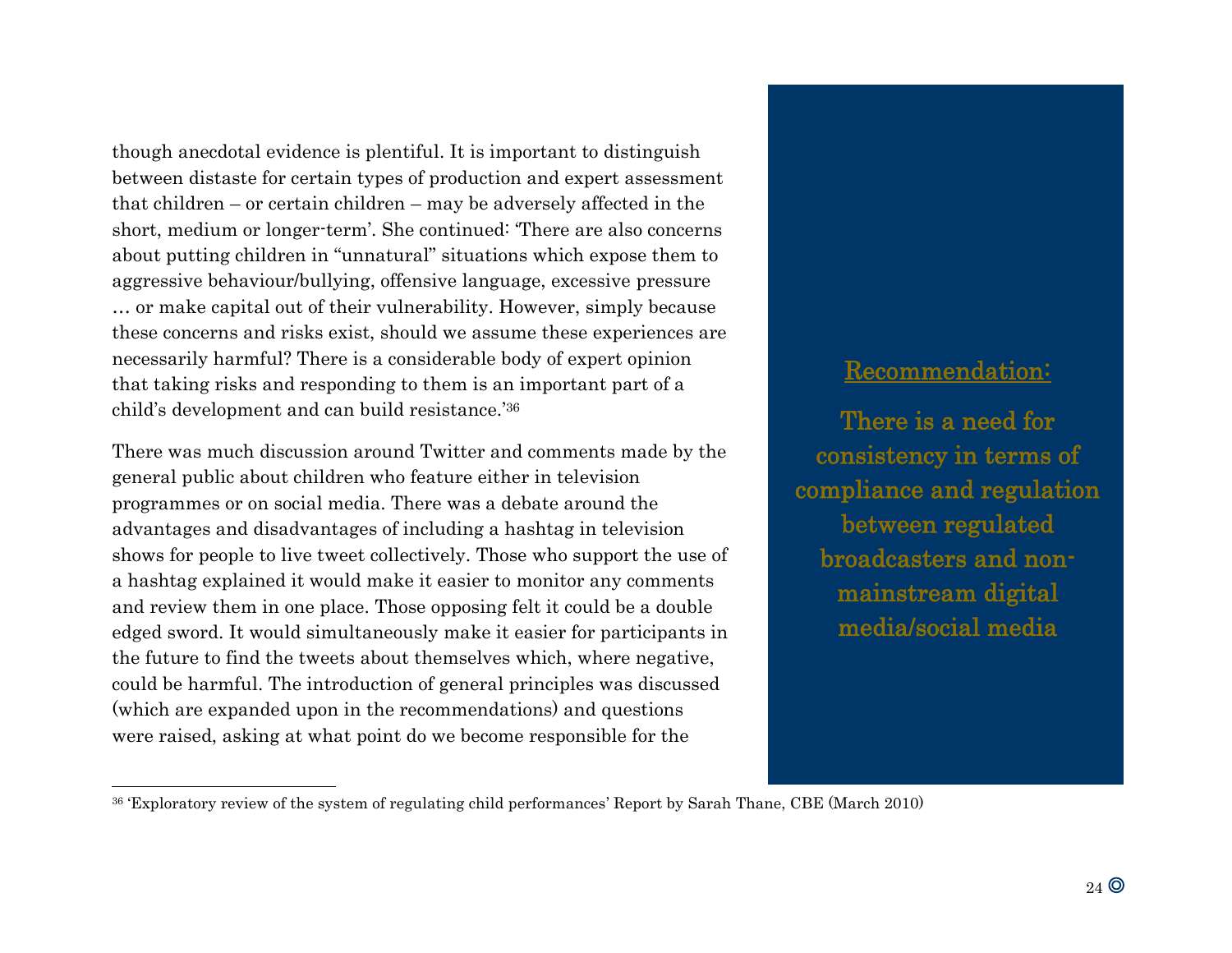though anecdotal evidence is plentiful. It is important to distinguish between distaste for certain types of production and expert assessment that children – or certain children – may be adversely affected in the short, medium or longer-term'. She continued: 'There are also concerns about putting children in "unnatural" situations which expose them to aggressive behaviour/bullying, offensive language, excessive pressure … or make capital out of their vulnerability. However, simply because these concerns and risks exist, should we assume these experiences are necessarily harmful? There is a considerable body of expert opinion that taking risks and responding to them is an important part of a child's development and can build resistance.' 36

There was much discussion around Twitter and comments made by the general public about children who feature either in television programmes or on social media. There was a debate around the advantages and disadvantages of including a hashtag in television shows for people to live tweet collectively. Those who support the use of a hashtag explained it would make it easier to monitor any comments and review them in one place. Those opposing felt it could be a double edged sword. It would simultaneously make it easier for participants in the future to find the tweets about themselves which, where negative, could be harmful. The introduction of general principles was discussed (which are expanded upon in the recommendations) and questions were raised, asking at what point do we become responsible for the

l

## Recommendation:

There is a need for consistency in terms of compliance and regulation between regulated broadcasters and nonmainstream digital media/social media

<sup>36</sup> 'Exploratory review of the system of regulating child performances' Report by Sarah Thane, CBE (March 2010)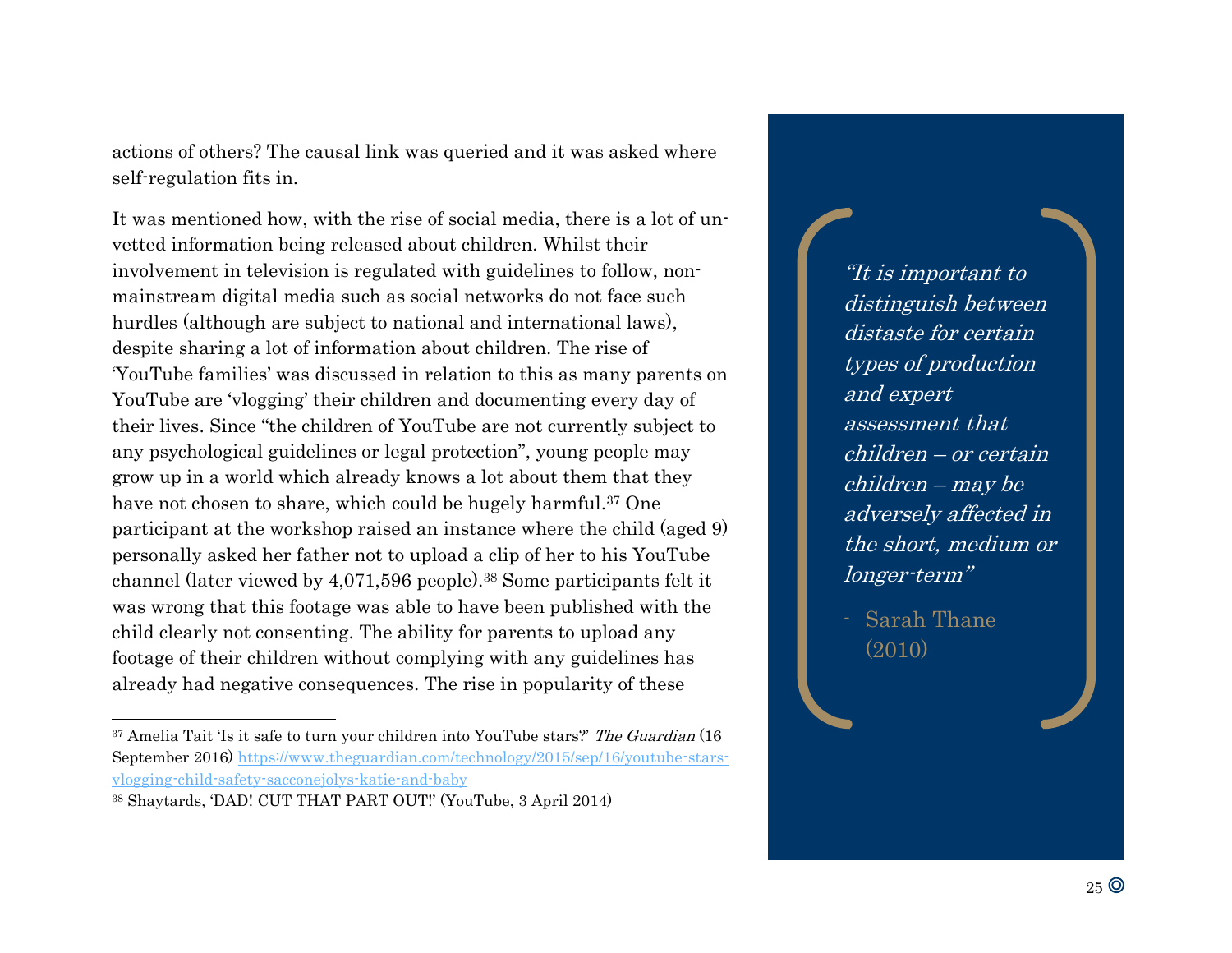actions of others? The causal link was queried and it was asked where self-regulation fits in.

It was mentioned how, with the rise of social media, there is a lot of unvetted information being released about children. Whilst their involvement in television is regulated with guidelines to follow, nonmainstream digital media such as social networks do not face such hurdles (although are subject to national and international laws), despite sharing a lot of information about children. The rise of 'YouTube families' was discussed in relation to this as many parents on YouTube are 'vlogging' their children and documenting every day of their lives. Since "the children of YouTube are not currently subject to any psychological guidelines or legal protection", young people may grow up in a world which already knows a lot about them that they have not chosen to share, which could be hugely harmful.<sup>37</sup> One participant at the workshop raised an instance where the child (aged 9) personally asked her father not to upload a clip of her to his YouTube channel (later viewed by 4,071,596 people).<sup>38</sup> Some participants felt it was wrong that this footage was able to have been published with the child clearly not consenting. The ability for parents to upload any footage of their children without complying with any guidelines has already had negative consequences. The rise in popularity of these

l

"It is important to distinguish between distaste for certain types of production and expert assessment that children – or certain children – may be adversely affected in the short, medium or longer-term"

- Sarah Thane (2010)

<sup>&</sup>lt;sup>37</sup> Amelia Tait 'Is it safe to turn your children into YouTube stars?' The Guardian (16 September 2016) [https://www.theguardian.com/technology/2015/sep/16/youtube-stars](https://www.theguardian.com/technology/2015/sep/16/youtube-stars-vlogging-child-safety-sacconejolys-katie-and-baby)[vlogging-child-safety-sacconejolys-katie-and-baby](https://www.theguardian.com/technology/2015/sep/16/youtube-stars-vlogging-child-safety-sacconejolys-katie-and-baby)

<sup>38</sup> Shaytards, 'DAD! CUT THAT PART OUT!' (YouTube, 3 April 2014)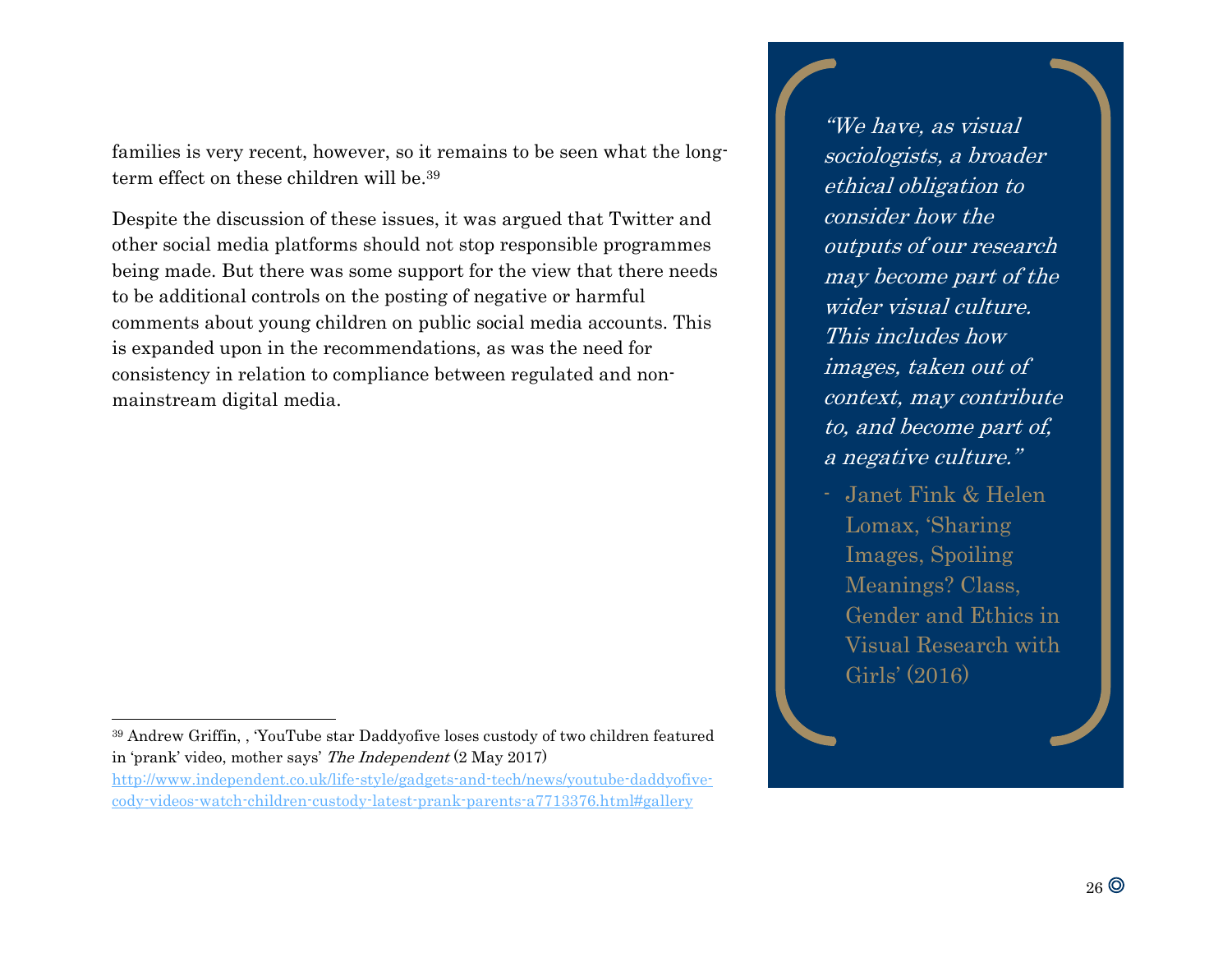families is very recent, however, so it remains to be seen what the longterm effect on these children will be.<sup>39</sup>

Despite the discussion of these issues, it was argued that Twitter and other social media platforms should not stop responsible programmes being made. But there was some support for the view that there needs to be additional controls on the posting of negative or harmful comments about young children on public social media accounts. This is expanded upon in the recommendations, as was the need for consistency in relation to compliance between regulated and nonmainstream digital media.

"We have, as visual sociologists, a broader ethical obligation to consider how the outputs of our research may become part of the wider visual culture. This includes how images, taken out of context, may contribute to, and become part of, a negative culture."

- Janet Fink & Helen Lomax, 'Sharing Images, Spoiling Meanings? Class, Gender and Ethics in Visual Research with Girls' (2016)

l <sup>39</sup> Andrew Griffin, , 'YouTube star Daddyofive loses custody of two children featured in 'prank' video, mother says' The Independent (2 May 2017)

[http://www.independent.co.uk/life-style/gadgets-and-tech/news/youtube-daddyofive](http://www.independent.co.uk/life-style/gadgets-and-tech/news/youtube-daddyofive-cody-videos-watch-children-custody-latest-prank-parents-a7713376.html#gallery)[cody-videos-watch-children-custody-latest-prank-parents-a7713376.html#gallery](http://www.independent.co.uk/life-style/gadgets-and-tech/news/youtube-daddyofive-cody-videos-watch-children-custody-latest-prank-parents-a7713376.html#gallery)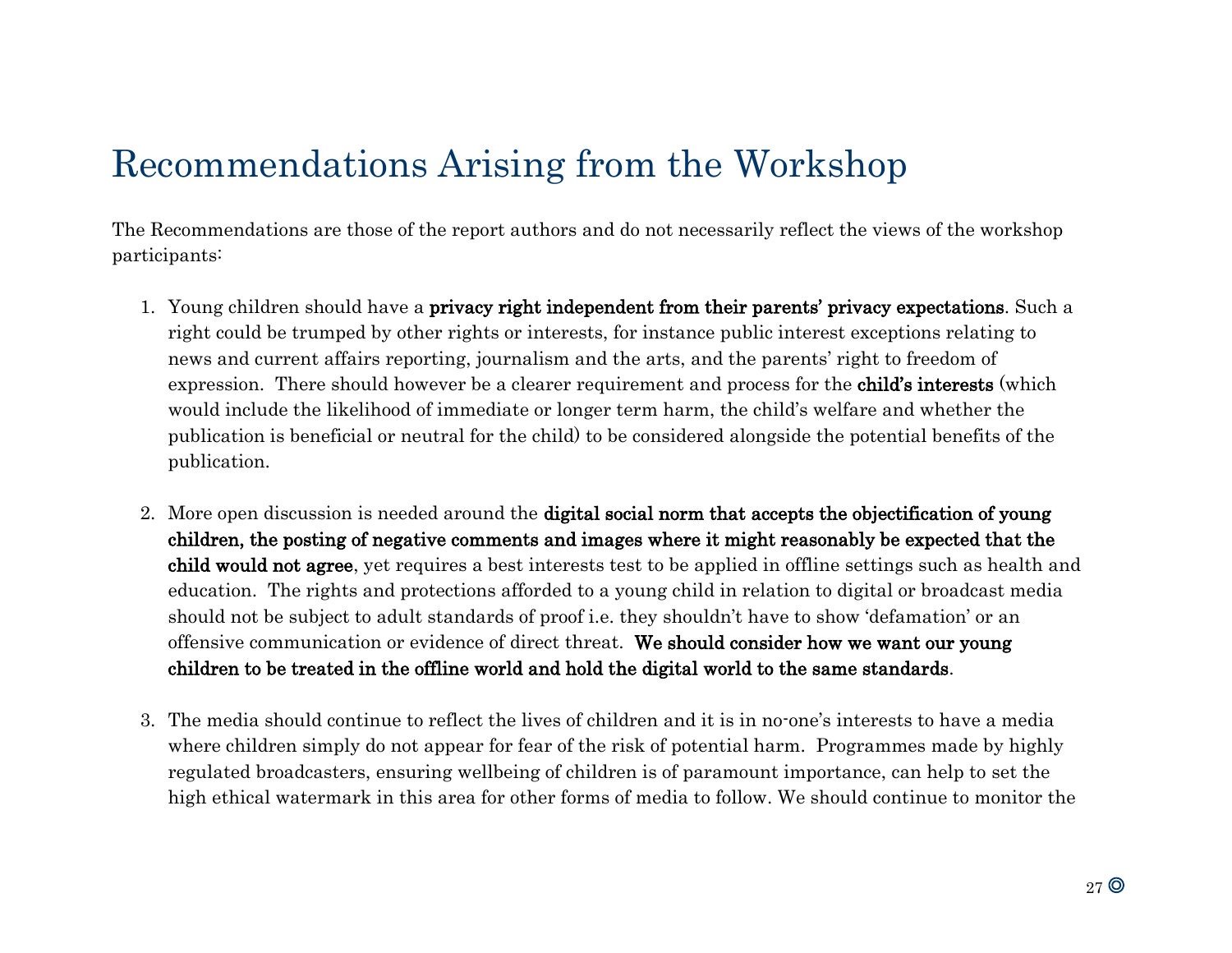# Recommendations Arising from the Workshop

The Recommendations are those of the report authors and do not necessarily reflect the views of the workshop participants:

- 1. Young children should have a privacy right independent from their parents' privacy expectations. Such a right could be trumped by other rights or interests, for instance public interest exceptions relating to news and current affairs reporting, journalism and the arts, and the parents' right to freedom of expression. There should however be a clearer requirement and process for the child's interests (which would include the likelihood of immediate or longer term harm, the child's welfare and whether the publication is beneficial or neutral for the child) to be considered alongside the potential benefits of the publication.
- 2. More open discussion is needed around the digital social norm that accepts the objectification of young children, the posting of negative comments and images where it might reasonably be expected that the child would not agree, yet requires a best interests test to be applied in offline settings such as health and education. The rights and protections afforded to a young child in relation to digital or broadcast media should not be subject to adult standards of proof i.e. they shouldn't have to show 'defamation' or an offensive communication or evidence of direct threat. We should consider how we want our young children to be treated in the offline world and hold the digital world to the same standards.
- 3. The media should continue to reflect the lives of children and it is in no-one's interests to have a media where children simply do not appear for fear of the risk of potential harm. Programmes made by highly regulated broadcasters, ensuring wellbeing of children is of paramount importance, can help to set the high ethical watermark in this area for other forms of media to follow. We should continue to monitor the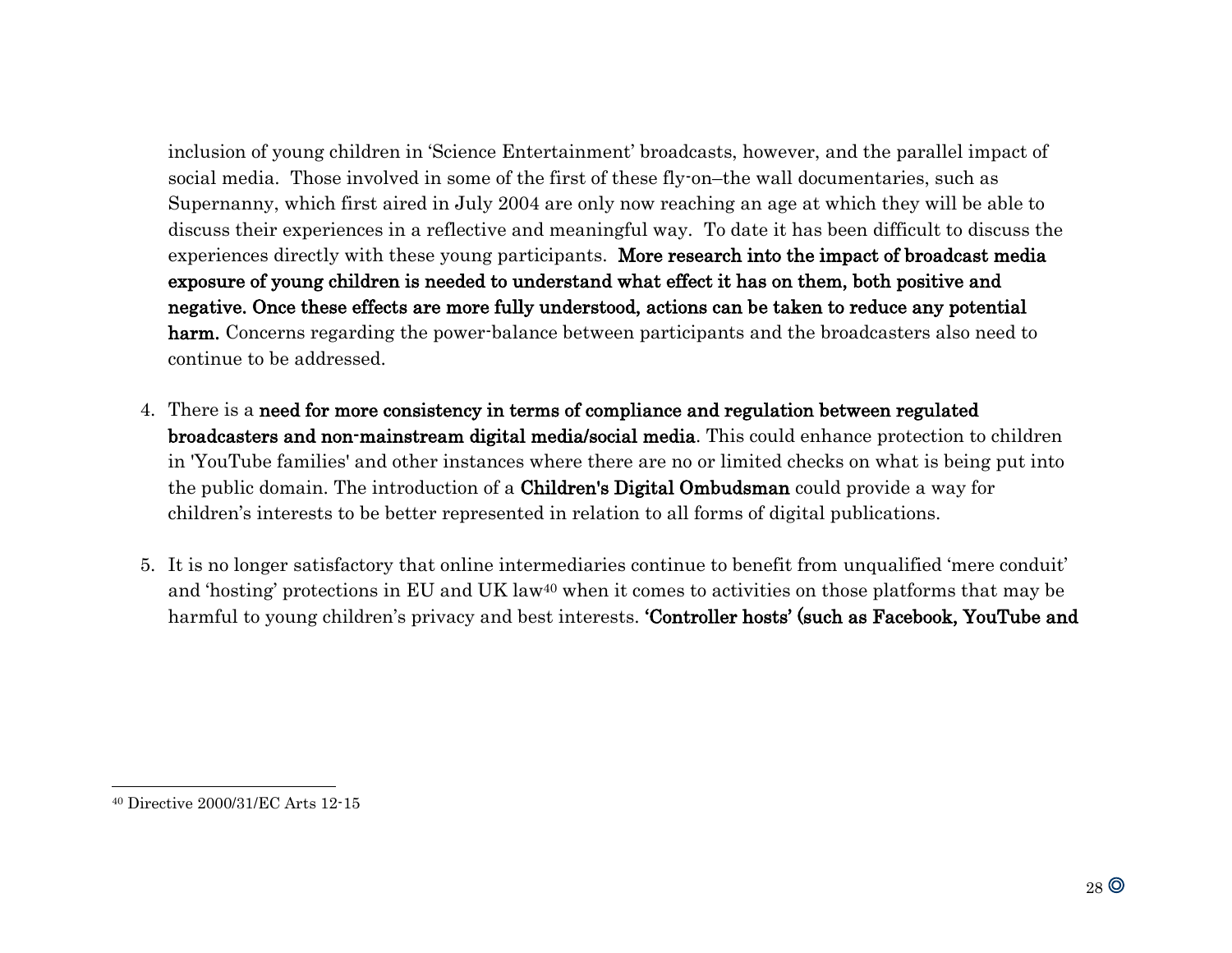inclusion of young children in 'Science Entertainment' broadcasts, however, and the parallel impact of social media. Those involved in some of the first of these fly-on–the wall documentaries, such as Supernanny, which first aired in July 2004 are only now reaching an age at which they will be able to discuss their experiences in a reflective and meaningful way. To date it has been difficult to discuss the experiences directly with these young participants. More research into the impact of broadcast media exposure of young children is needed to understand what effect it has on them, both positive and negative. Once these effects are more fully understood, actions can be taken to reduce any potential harm. Concerns regarding the power-balance between participants and the broadcasters also need to continue to be addressed.

- 4. There is a need for more consistency in terms of compliance and regulation between regulated broadcasters and non-mainstream digital media/social media. This could enhance protection to children in 'YouTube families' and other instances where there are no or limited checks on what is being put into the public domain. The introduction of a Children's Digital Ombudsman could provide a way for children's interests to be better represented in relation to all forms of digital publications.
- 5. It is no longer satisfactory that online intermediaries continue to benefit from unqualified 'mere conduit' and 'hosting' protections in EU and UK law<sup>40</sup> when it comes to activities on those platforms that may be harmful to young children's privacy and best interests. **'Controller hosts' (such as Facebook, YouTube and**

<sup>40</sup> Directive 2000/31/EC Arts 12-15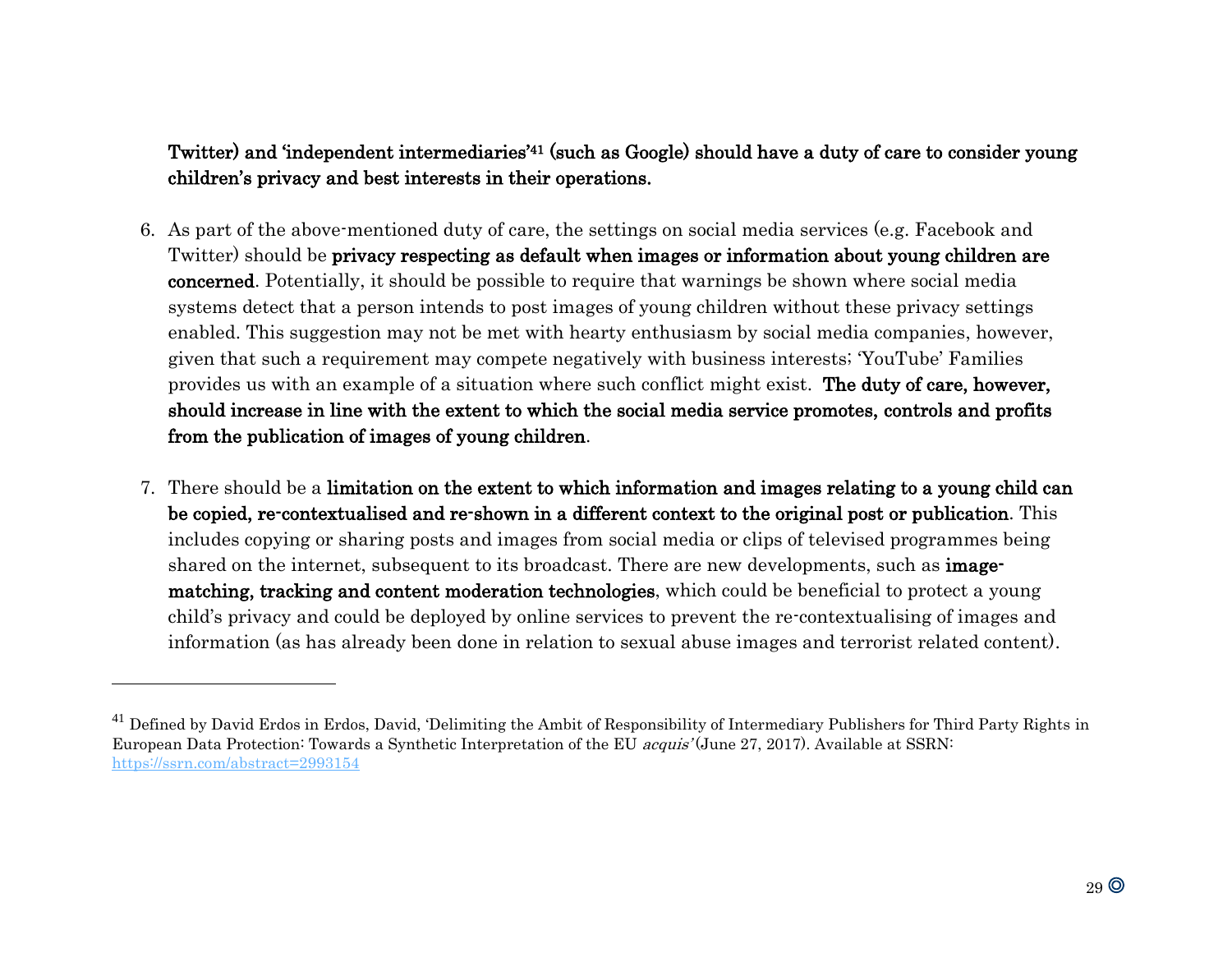#### Twitter) and 'independent intermediaries'41 (such as Google) should have a duty of care to consider young children's privacy and best interests in their operations.

- 6. As part of the above-mentioned duty of care, the settings on social media services (e.g. Facebook and Twitter) should be privacy respecting as default when images or information about young children are concerned. Potentially, it should be possible to require that warnings be shown where social media systems detect that a person intends to post images of young children without these privacy settings enabled. This suggestion may not be met with hearty enthusiasm by social media companies, however, given that such a requirement may compete negatively with business interests; 'YouTube' Families provides us with an example of a situation where such conflict might exist. The duty of care, however, should increase in line with the extent to which the social media service promotes, controls and profits from the publication of images of young children.
- 7. There should be a limitation on the extent to which information and images relating to a young child can be copied, re-contextualised and re-shown in a different context to the original post or publication. This includes copying or sharing posts and images from social media or clips of televised programmes being shared on the internet, subsequent to its broadcast. There are new developments, such as **image**matching, tracking and content moderation technologies, which could be beneficial to protect a young child's privacy and could be deployed by online services to prevent the re-contextualising of images and information (as has already been done in relation to sexual abuse images and terrorist related content).

<sup>&</sup>lt;sup>41</sup> Defined by David Erdos in Erdos, David, 'Delimiting the Ambit of Responsibility of Intermediary Publishers for Third Party Rights in European Data Protection: Towards a Synthetic Interpretation of the EU acquis' (June 27, 2017). Available at SSRN: <https://ssrn.com/abstract=2993154>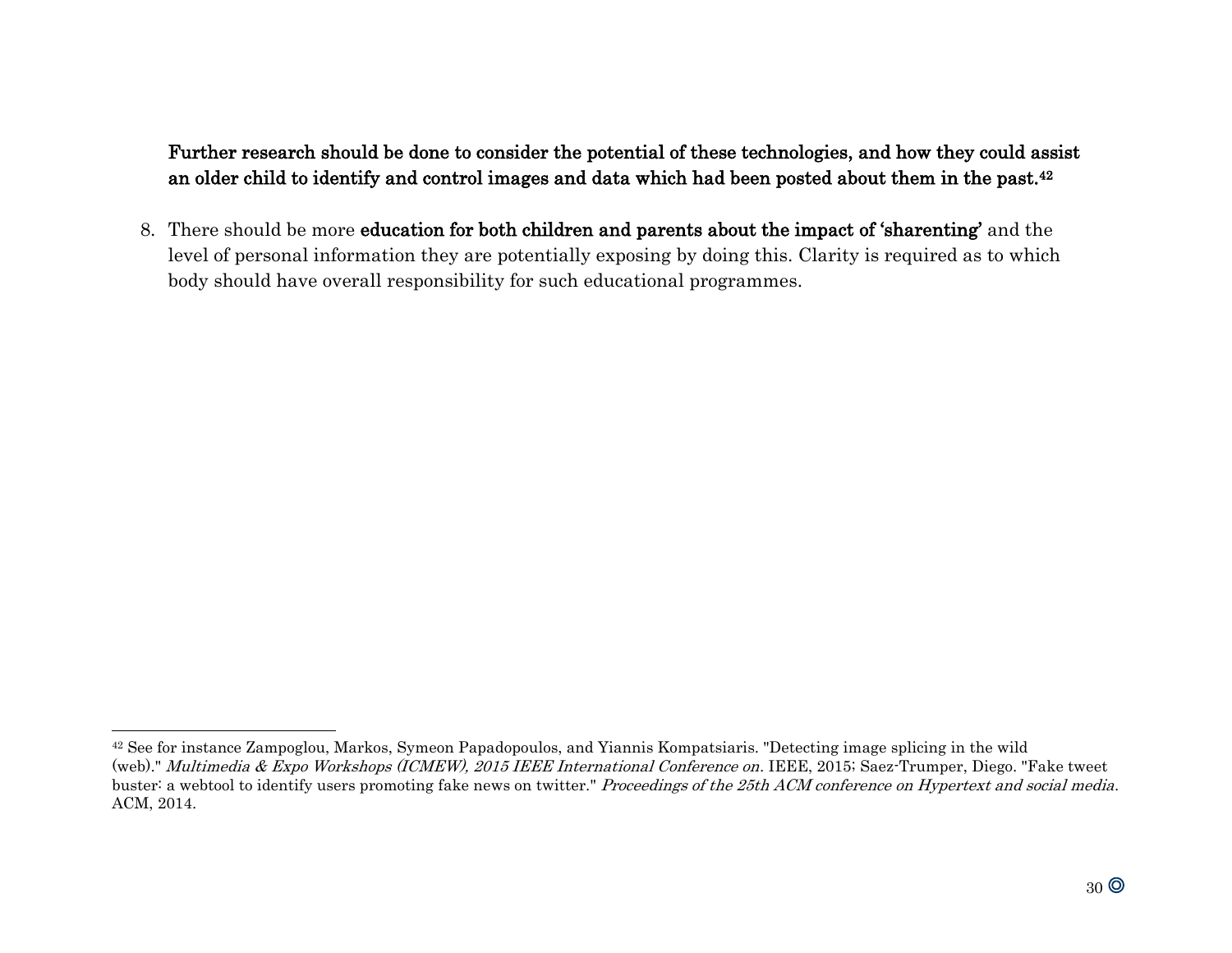Further research should be done to consider the potential of these technologies, and how they could assist an older child to identify and control images and data which had been posted about them in the past.<sup>42</sup>

8. There should be more education for both children and parents about the impact of 'sharenting' and the level of personal information they are potentially exposing by doing this. Clarity is required as to which body should have overall responsibility for such educational programmes.

<sup>42</sup> See for instance Zampoglou, Markos, Symeon Papadopoulos, and Yiannis Kompatsiaris. "Detecting image splicing in the wild (web)." Multimedia & Expo Workshops (ICMEW), 2015 IEEE International Conference on. IEEE, 2015; Saez-Trumper, Diego. "Fake tweet buster: a webtool to identify users promoting fake news on twitter." Proceedings of the 25th ACM conference on Hypertext and social media. ACM, 2014.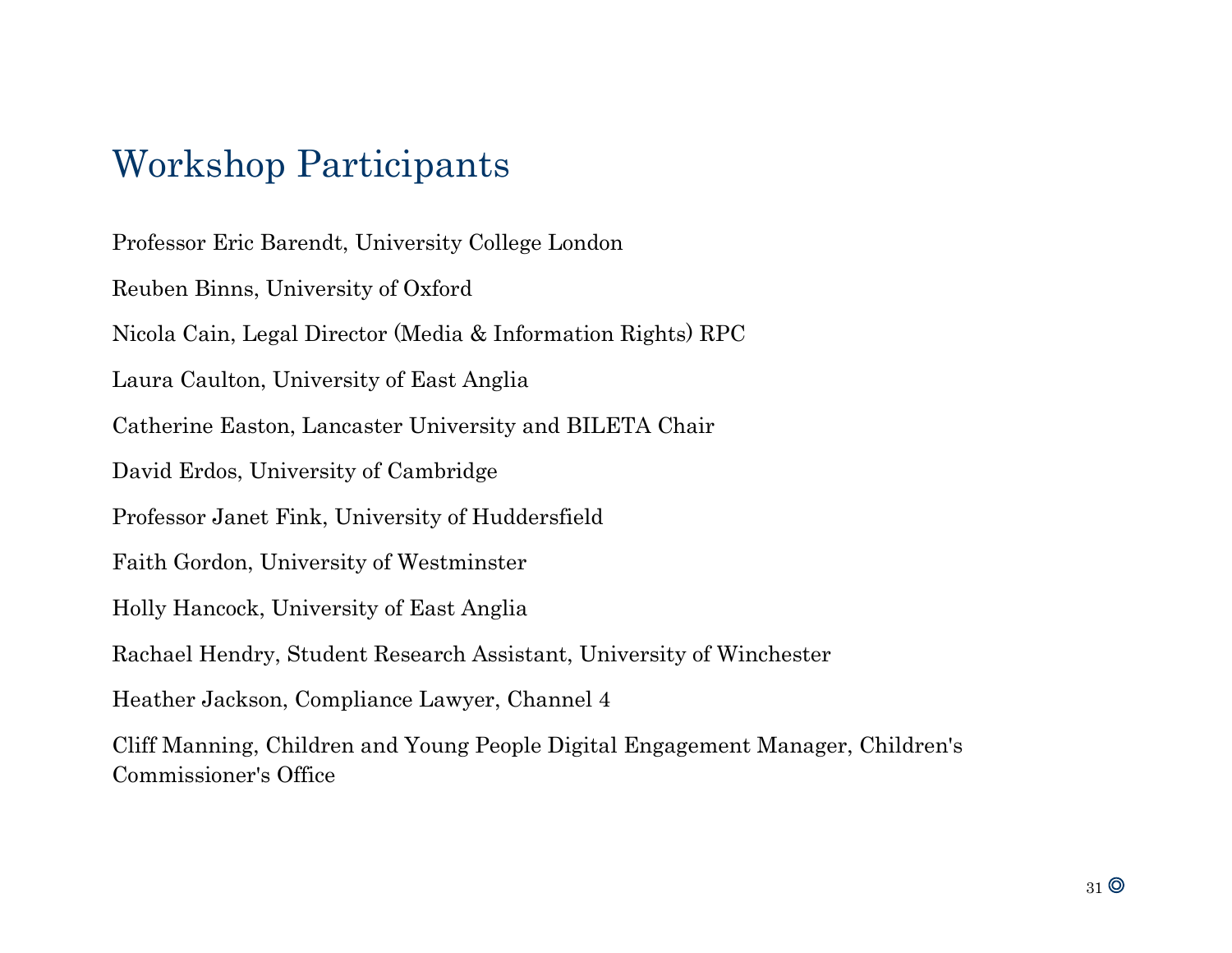# Workshop Participants

Professor Eric Barendt, University College London Reuben Binns, University of Oxford Nicola Cain, Legal Director (Media & Information Rights) RPC Laura Caulton, University of East Anglia Catherine Easton, Lancaster University and BILETA Chair David Erdos, University of Cambridge Professor Janet Fink, University of Huddersfield Faith Gordon, University of Westminster Holly Hancock, University of East Anglia Rachael Hendry, Student Research Assistant, University of Winchester Heather Jackson, Compliance Lawyer, Channel 4 Cliff Manning, Children and Young People Digital Engagement Manager, Children's Commissioner's Office